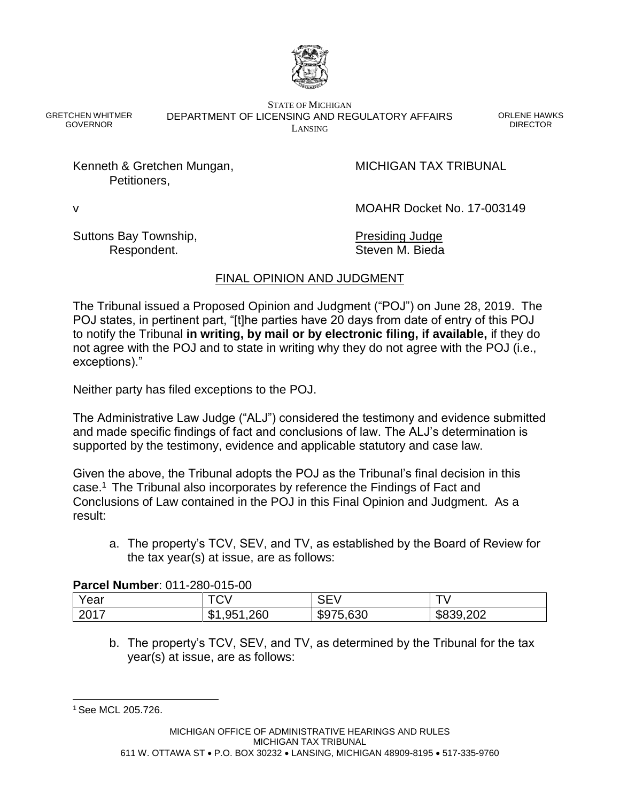

GRETCHEN WHITMER GOVERNOR

STATE OF MICHIGAN DEPARTMENT OF LICENSING AND REGULATORY AFFAIRS LANSING

ORLENE HAWKS DIRECTOR

Kenneth & Gretchen Mungan, MICHIGAN TAX TRIBUNAL Petitioners,

v MOAHR Docket No. 17-003149

Suttons Bay Township, Suttons Bay Township, Presiding Judge

Respondent. Steven M. Bieda

# FINAL OPINION AND JUDGMENT

The Tribunal issued a Proposed Opinion and Judgment ("POJ") on June 28, 2019. The POJ states, in pertinent part, "[t]he parties have 20 days from date of entry of this POJ to notify the Tribunal **in writing, by mail or by electronic filing, if available,** if they do not agree with the POJ and to state in writing why they do not agree with the POJ (i.e., exceptions)."

Neither party has filed exceptions to the POJ.

The Administrative Law Judge ("ALJ") considered the testimony and evidence submitted and made specific findings of fact and conclusions of law. The ALJ's determination is supported by the testimony, evidence and applicable statutory and case law.

Given the above, the Tribunal adopts the POJ as the Tribunal's final decision in this case.<sup>1</sup> The Tribunal also incorporates by reference the Findings of Fact and Conclusions of Law contained in the POJ in this Final Opinion and Judgment. As a result:

a. The property's TCV, SEV, and TV, as established by the Board of Review for the tax year(s) at issue, are as follows:

## **Parcel Number**: 011-280-015-00

| . <b></b> |                         |                 |              |  |  |
|-----------|-------------------------|-----------------|--------------|--|--|
| Year      | <b>FAL</b><br>◡ѵ        |                 |              |  |  |
| 2017      | ,260<br>Q51<br>w<br>.JJ | 75,630<br>່ ຈລ' | ,202<br>കറാട |  |  |

b. The property's TCV, SEV, and TV, as determined by the Tribunal for the tax year(s) at issue, are as follows:

l <sup>1</sup> See MCL 205.726.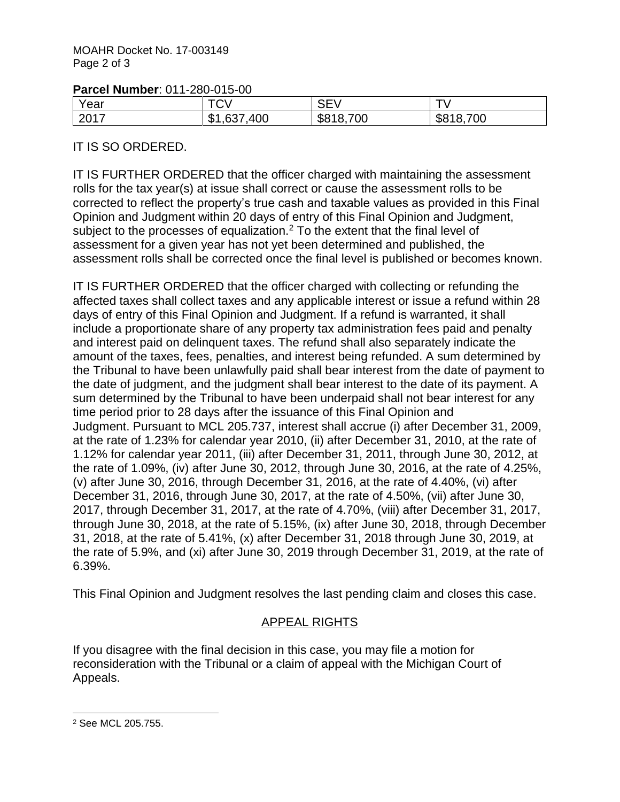## **Parcel Number**: 011-280-015-00

| Year | $T^{\wedge}$<br>v v | --<br>_<br>$\sim$ $ \sim$ |     |
|------|---------------------|---------------------------|-----|
| 2017 | 400                 | ,700                      | 700 |
|      | J                   | ФC                        | აბ  |

# IT IS SO ORDERED.

IT IS FURTHER ORDERED that the officer charged with maintaining the assessment rolls for the tax year(s) at issue shall correct or cause the assessment rolls to be corrected to reflect the property's true cash and taxable values as provided in this Final Opinion and Judgment within 20 days of entry of this Final Opinion and Judgment, subject to the processes of equalization.<sup>2</sup> To the extent that the final level of assessment for a given year has not yet been determined and published, the assessment rolls shall be corrected once the final level is published or becomes known.

IT IS FURTHER ORDERED that the officer charged with collecting or refunding the affected taxes shall collect taxes and any applicable interest or issue a refund within 28 days of entry of this Final Opinion and Judgment. If a refund is warranted, it shall include a proportionate share of any property tax administration fees paid and penalty and interest paid on delinquent taxes. The refund shall also separately indicate the amount of the taxes, fees, penalties, and interest being refunded. A sum determined by the Tribunal to have been unlawfully paid shall bear interest from the date of payment to the date of judgment, and the judgment shall bear interest to the date of its payment. A sum determined by the Tribunal to have been underpaid shall not bear interest for any time period prior to 28 days after the issuance of this Final Opinion and Judgment. Pursuant to MCL 205.737, interest shall accrue (i) after December 31, 2009, at the rate of 1.23% for calendar year 2010, (ii) after December 31, 2010, at the rate of 1.12% for calendar year 2011, (iii) after December 31, 2011, through June 30, 2012, at the rate of 1.09%, (iv) after June 30, 2012, through June 30, 2016, at the rate of 4.25%, (v) after June 30, 2016, through December 31, 2016, at the rate of 4.40%, (vi) after December 31, 2016, through June 30, 2017, at the rate of 4,50%, (vii) after June 30. 2017, through December 31, 2017, at the rate of 4.70%, (viii) after December 31, 2017, through June 30, 2018, at the rate of 5.15%, (ix) after June 30, 2018, through December 31, 2018, at the rate of 5.41%, (x) after December 31, 2018 through June 30, 2019, at the rate of 5.9%, and (xi) after June 30, 2019 through December 31, 2019, at the rate of 6.39%.

This Final Opinion and Judgment resolves the last pending claim and closes this case.

# APPEAL RIGHTS

If you disagree with the final decision in this case, you may file a motion for reconsideration with the Tribunal or a claim of appeal with the Michigan Court of Appeals.

l <sup>2</sup> See MCL 205.755.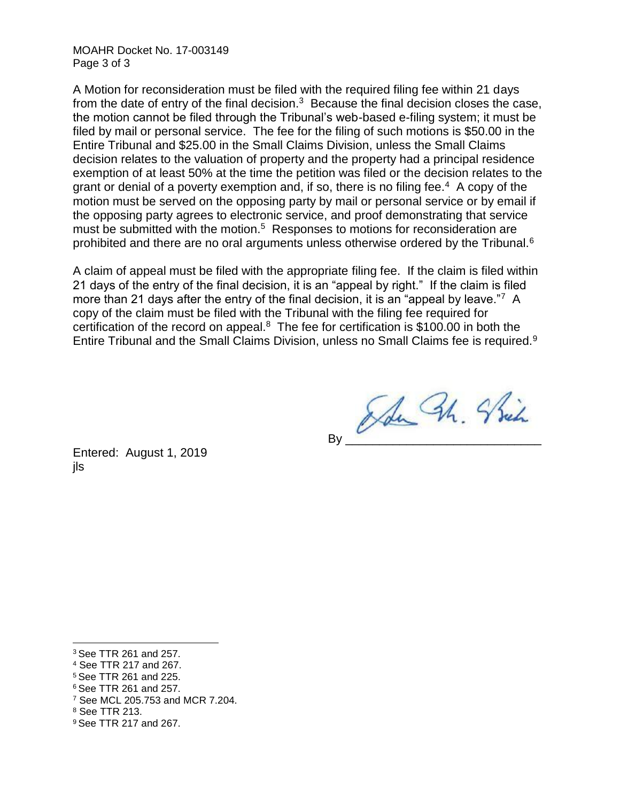MOAHR Docket No. 17-003149 Page 3 of 3

A Motion for reconsideration must be filed with the required filing fee within 21 days from the date of entry of the final decision. $3$  Because the final decision closes the case, the motion cannot be filed through the Tribunal's web-based e-filing system; it must be filed by mail or personal service. The fee for the filing of such motions is \$50.00 in the Entire Tribunal and \$25.00 in the Small Claims Division, unless the Small Claims decision relates to the valuation of property and the property had a principal residence exemption of at least 50% at the time the petition was filed or the decision relates to the grant or denial of a poverty exemption and, if so, there is no filing fee.<sup>4</sup> A copy of the motion must be served on the opposing party by mail or personal service or by email if the opposing party agrees to electronic service, and proof demonstrating that service must be submitted with the motion.<sup>5</sup> Responses to motions for reconsideration are prohibited and there are no oral arguments unless otherwise ordered by the Tribunal.<sup>6</sup>

A claim of appeal must be filed with the appropriate filing fee. If the claim is filed within 21 days of the entry of the final decision, it is an "appeal by right." If the claim is filed more than 21 days after the entry of the final decision, it is an "appeal by leave."7 A copy of the claim must be filed with the Tribunal with the filing fee required for certification of the record on appeal. $8$  The fee for certification is \$100.00 in both the Entire Tribunal and the Small Claims Division, unless no Small Claims fee is required.<sup>9</sup>

An Bh. Shin

Entered: August 1, 2019 jls

l <sup>3</sup> See TTR 261 and 257.

<sup>4</sup> See TTR 217 and 267.

<sup>5</sup> See TTR 261 and 225.

<sup>6</sup> See TTR 261 and 257.

<sup>7</sup> See MCL 205.753 and MCR 7.204.

<sup>8</sup> See TTR 213.

<sup>9</sup> See TTR 217 and 267.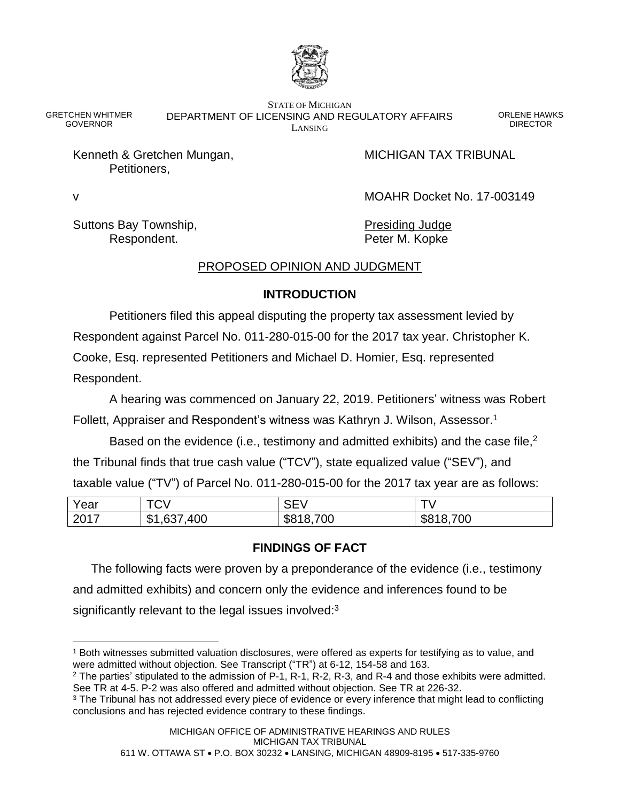

STATE OF MICHIGAN DEPARTMENT OF LICENSING AND REGULATORY AFFAIRS LANSING

ORLENE HAWKS DIRECTOR

Kenneth & Gretchen Mungan, MICHIGAN TAX TRIBUNAL Petitioners,

v MOAHR Docket No. 17-003149

Suttons Bay Township, **Presiding Judge** Presiding Judge Respondent. The Peter M. Kopke

GRETCHEN WHITMER GOVERNOR

# PROPOSED OPINION AND JUDGMENT

## **INTRODUCTION**

Petitioners filed this appeal disputing the property tax assessment levied by Respondent against Parcel No. 011-280-015-00 for the 2017 tax year. Christopher K. Cooke, Esq. represented Petitioners and Michael D. Homier, Esq. represented Respondent.

A hearing was commenced on January 22, 2019. Petitioners' witness was Robert Follett, Appraiser and Respondent's witness was Kathryn J. Wilson, Assessor.<sup>1</sup>

Based on the evidence (i.e., testimony and admitted exhibits) and the case file,<sup>2</sup> the Tribunal finds that true cash value ("TCV"), state equalized value ("SEV"), and taxable value ("TV") of Parcel No. 011-280-015-00 for the 2017 tax year are as follows:

| Year           | $T\cap V$<br>v v                | ∩ — ∖<br>. - - - - - - |                |
|----------------|---------------------------------|------------------------|----------------|
| 2017<br>20 I I | ,400<br>σт<br>≺<br>D<br>ו טט, ו | 700<br>\$818,          | 700<br>J010, n |

# **FINDINGS OF FACT**

The following facts were proven by a preponderance of the evidence (i.e., testimony and admitted exhibits) and concern only the evidence and inferences found to be significantly relevant to the legal issues involved: $3$ 

 $\overline{a}$ <sup>1</sup> Both witnesses submitted valuation disclosures, were offered as experts for testifying as to value, and were admitted without objection. See Transcript ("TR") at 6-12, 154-58 and 163.

<sup>2</sup> The parties' stipulated to the admission of P-1, R-1, R-2, R-3, and R-4 and those exhibits were admitted. See TR at 4-5. P-2 was also offered and admitted without objection. See TR at 226-32.

<sup>&</sup>lt;sup>3</sup> The Tribunal has not addressed every piece of evidence or every inference that might lead to conflicting conclusions and has rejected evidence contrary to these findings.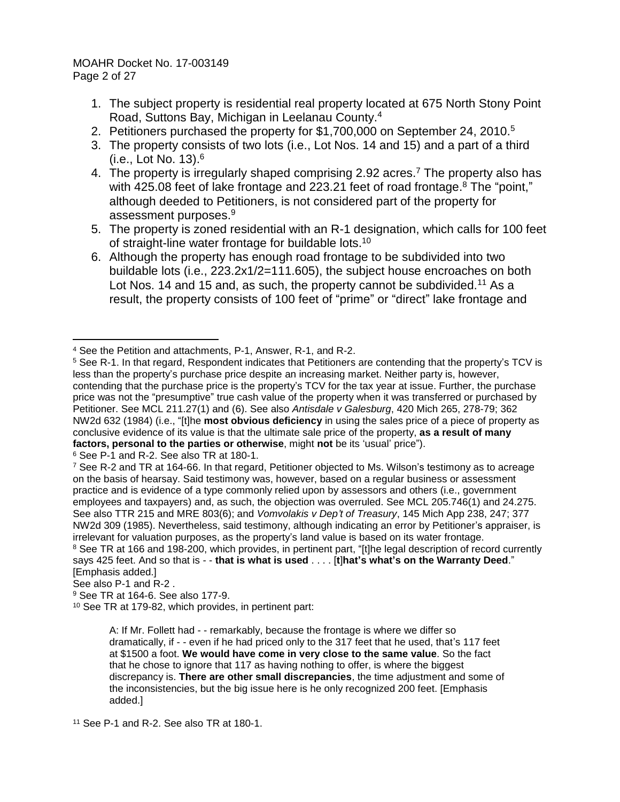MOAHR Docket No. 17-003149 Page 2 of 27

- 1. The subject property is residential real property located at 675 North Stony Point Road, Suttons Bay, Michigan in Leelanau County. 4
- 2. Petitioners purchased the property for \$1,700,000 on September 24, 2010.<sup>5</sup>
- 3. The property consists of two lots (i.e., Lot Nos. 14 and 15) and a part of a third (i.e., Lot No. 13). 6
- 4. The property is irregularly shaped comprising 2.92 acres.<sup>7</sup> The property also has with 425.08 feet of lake frontage and 223.21 feet of road frontage.<sup>8</sup> The "point," although deeded to Petitioners, is not considered part of the property for assessment purposes.<sup>9</sup>
- 5. The property is zoned residential with an R-1 designation, which calls for 100 feet of straight-line water frontage for buildable lots.<sup>10</sup>
- 6. Although the property has enough road frontage to be subdivided into two buildable lots (i.e., 223.2x1/2=111.605), the subject house encroaches on both Lot Nos. 14 and 15 and, as such, the property cannot be subdivided.<sup>11</sup> As a result, the property consists of 100 feet of "prime" or "direct" lake frontage and

<sup>6</sup> See P-1 and R-2. See also TR at 180-1.

See also P-1 and R-2 .

<sup>4</sup> See the Petition and attachments, P-1, Answer, R-1, and R-2.

<sup>5</sup> See R-1. In that regard, Respondent indicates that Petitioners are contending that the property's TCV is less than the property's purchase price despite an increasing market. Neither party is, however, contending that the purchase price is the property's TCV for the tax year at issue. Further, the purchase price was not the "presumptive" true cash value of the property when it was transferred or purchased by Petitioner. See MCL 211.27(1) and (6). See also *Antisdale v Galesburg*, 420 Mich 265, 278-79; 362 NW2d 632 (1984) (i.e., "[t]he **most obvious deficiency** in using the sales price of a piece of property as conclusive evidence of its value is that the ultimate sale price of the property, **as a result of many factors, personal to the parties or otherwise**, might **not** be its 'usual' price").

 $7$  See R-2 and TR at 164-66. In that regard, Petitioner objected to Ms. Wilson's testimony as to acreage on the basis of hearsay. Said testimony was, however, based on a regular business or assessment practice and is evidence of a type commonly relied upon by assessors and others (i.e., government employees and taxpayers) and, as such, the objection was overruled. See MCL 205.746(1) and 24.275. See also TTR 215 and MRE 803(6); and *Vomvolakis v Dep't of Treasury*, 145 Mich App 238, 247; 377 NW2d 309 (1985). Nevertheless, said testimony, although indicating an error by Petitioner's appraiser, is irrelevant for valuation purposes, as the property's land value is based on its water frontage. <sup>8</sup> See TR at 166 and 198-200, which provides, in pertinent part, "[t]he legal description of record currently says 425 feet. And so that is - - **that is what is used** . . . . [**t**]**hat's what's on the Warranty Deed**." [Emphasis added.]

<sup>9</sup> See TR at 164-6. See also 177-9.

<sup>10</sup> See TR at 179-82, which provides, in pertinent part:

A: If Mr. Follett had - - remarkably, because the frontage is where we differ so dramatically, if - - even if he had priced only to the 317 feet that he used, that's 117 feet at \$1500 a foot. **We would have come in very close to the same value**. So the fact that he chose to ignore that 117 as having nothing to offer, is where the biggest discrepancy is. **There are other small discrepancies**, the time adjustment and some of the inconsistencies, but the big issue here is he only recognized 200 feet. [Emphasis added.]

<sup>11</sup> See P-1 and R-2. See also TR at 180-1.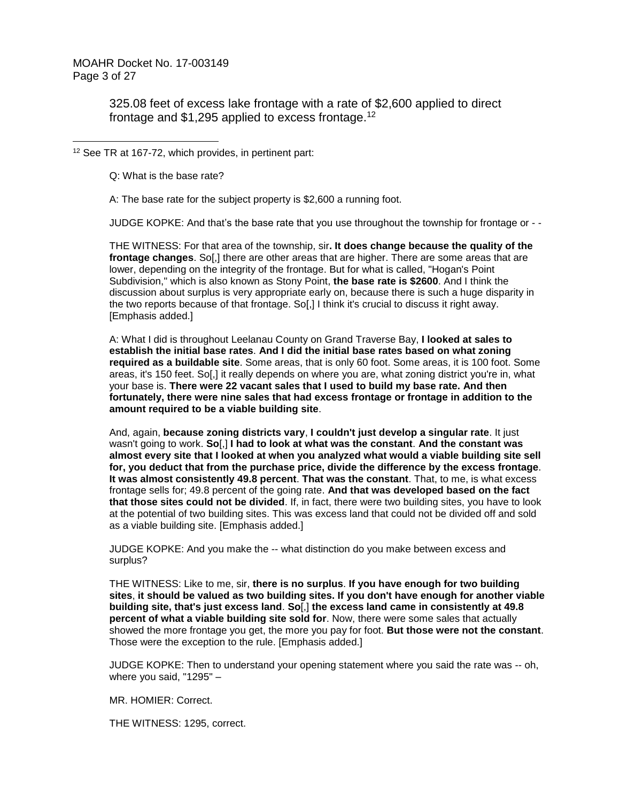MOAHR Docket No. 17-003149 Page 3 of 27

 $\overline{a}$ 

325.08 feet of excess lake frontage with a rate of \$2,600 applied to direct frontage and \$1,295 applied to excess frontage.<sup>12</sup>

<sup>12</sup> See TR at 167-72, which provides, in pertinent part:

Q: What is the base rate?

A: The base rate for the subject property is \$2,600 a running foot.

JUDGE KOPKE: And that's the base rate that you use throughout the township for frontage or - -

THE WITNESS: For that area of the township, sir**. It does change because the quality of the frontage changes**. So[,] there are other areas that are higher. There are some areas that are lower, depending on the integrity of the frontage. But for what is called, "Hogan's Point Subdivision," which is also known as Stony Point, **the base rate is \$2600**. And I think the discussion about surplus is very appropriate early on, because there is such a huge disparity in the two reports because of that frontage. So[,] I think it's crucial to discuss it right away. [Emphasis added.]

A: What I did is throughout Leelanau County on Grand Traverse Bay, **I looked at sales to establish the initial base rates**. **And I did the initial base rates based on what zoning required as a buildable site**. Some areas, that is only 60 foot. Some areas, it is 100 foot. Some areas, it's 150 feet. So[,] it really depends on where you are, what zoning district you're in, what your base is. **There were 22 vacant sales that I used to build my base rate. And then fortunately, there were nine sales that had excess frontage or frontage in addition to the amount required to be a viable building site**.

And, again, **because zoning districts vary**, **I couldn't just develop a singular rate**. It just wasn't going to work. **So**[,] **I had to look at what was the constant**. **And the constant was almost every site that I looked at when you analyzed what would a viable building site sell for, you deduct that from the purchase price, divide the difference by the excess frontage**. **It was almost consistently 49.8 percent**. **That was the constant**. That, to me, is what excess frontage sells for; 49.8 percent of the going rate. **And that was developed based on the fact that those sites could not be divided**. If, in fact, there were two building sites, you have to look at the potential of two building sites. This was excess land that could not be divided off and sold as a viable building site. [Emphasis added.]

JUDGE KOPKE: And you make the -- what distinction do you make between excess and surplus?

THE WITNESS: Like to me, sir, **there is no surplus**. **If you have enough for two building sites**, **it should be valued as two building sites. If you don't have enough for another viable building site, that's just excess land**. **So**[,] **the excess land came in consistently at 49.8 percent of what a viable building site sold for**. Now, there were some sales that actually showed the more frontage you get, the more you pay for foot. **But those were not the constant**. Those were the exception to the rule. [Emphasis added.]

JUDGE KOPKE: Then to understand your opening statement where you said the rate was -- oh, where you said, "1295" –

MR. HOMIER: Correct.

THE WITNESS: 1295, correct.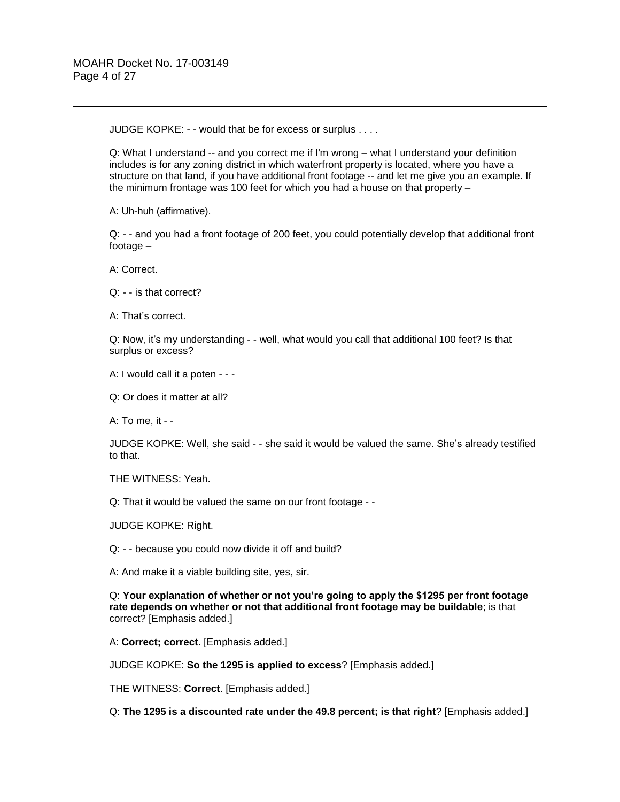JUDGE KOPKE: - - would that be for excess or surplus . . . .

Q: What I understand -- and you correct me if I'm wrong – what I understand your definition includes is for any zoning district in which waterfront property is located, where you have a structure on that land, if you have additional front footage -- and let me give you an example. If the minimum frontage was 100 feet for which you had a house on that property –

A: Uh-huh (affirmative).

Q: - - and you had a front footage of 200 feet, you could potentially develop that additional front footage –

A: Correct.

Q: - - is that correct?

A: That's correct.

Q: Now, it's my understanding - - well, what would you call that additional 100 feet? Is that surplus or excess?

A: I would call it a poten - - -

Q: Or does it matter at all?

A: To me, it - -

JUDGE KOPKE: Well, she said - - she said it would be valued the same. She's already testified to that.

THE WITNESS: Yeah.

Q: That it would be valued the same on our front footage - -

JUDGE KOPKE: Right.

Q: - - because you could now divide it off and build?

A: And make it a viable building site, yes, sir.

Q: **Your explanation of whether or not you're going to apply the \$1295 per front footage rate depends on whether or not that additional front footage may be buildable**; is that correct? [Emphasis added.]

A: **Correct; correct**. [Emphasis added.]

JUDGE KOPKE: **So the 1295 is applied to excess**? [Emphasis added.]

THE WITNESS: **Correct**. [Emphasis added.]

Q: **The 1295 is a discounted rate under the 49.8 percent; is that right**? [Emphasis added.]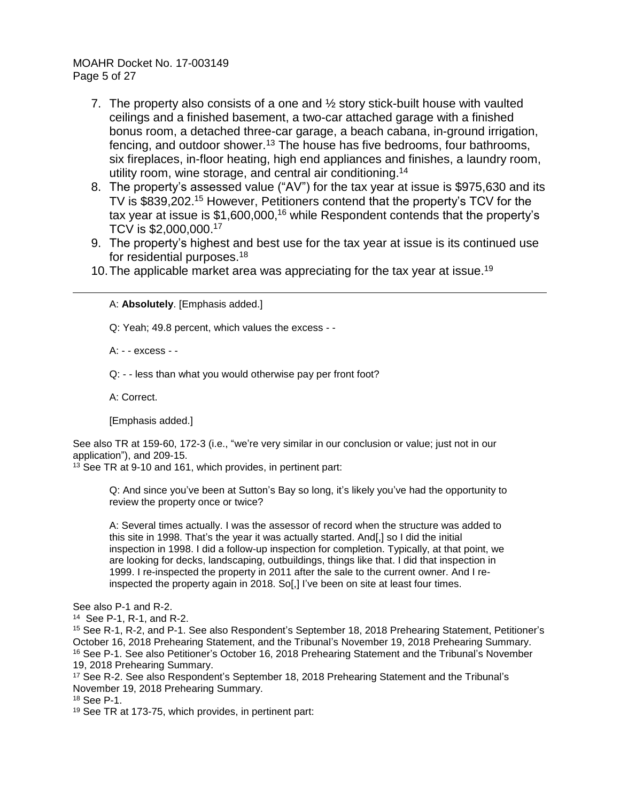MOAHR Docket No. 17-003149 Page 5 of 27

- 7. The property also consists of a one and ½ story stick-built house with vaulted ceilings and a finished basement, a two-car attached garage with a finished bonus room, a detached three-car garage, a beach cabana, in-ground irrigation, fencing, and outdoor shower.<sup>13</sup> The house has five bedrooms, four bathrooms, six fireplaces, in-floor heating, high end appliances and finishes, a laundry room, utility room, wine storage, and central air conditioning. 14
- 8. The property's assessed value ("AV") for the tax year at issue is \$975,630 and its TV is \$839,202.<sup>15</sup> However, Petitioners contend that the property's TCV for the tax year at issue is \$1,600,000,<sup>16</sup> while Respondent contends that the property's TCV is \$2,000,000. 17
- 9. The property's highest and best use for the tax year at issue is its continued use for residential purposes.<sup>18</sup>
- 10. The applicable market area was appreciating for the tax year at issue.<sup>19</sup>

A: **Absolutely**. [Emphasis added.]

Q: Yeah; 49.8 percent, which values the excess - -

A: - - excess - -

Q: - - less than what you would otherwise pay per front foot?

A: Correct.

 $\overline{a}$ 

[Emphasis added.]

See also TR at 159-60, 172-3 (i.e., "we're very similar in our conclusion or value; just not in our application"), and 209-15.

<sup>13</sup> See TR at 9-10 and 161, which provides, in pertinent part:

Q: And since you've been at Sutton's Bay so long, it's likely you've had the opportunity to review the property once or twice?

A: Several times actually. I was the assessor of record when the structure was added to this site in 1998. That's the year it was actually started. And[,] so I did the initial inspection in 1998. I did a follow-up inspection for completion. Typically, at that point, we are looking for decks, landscaping, outbuildings, things like that. I did that inspection in 1999. I re-inspected the property in 2011 after the sale to the current owner. And I reinspected the property again in 2018. So[,] I've been on site at least four times.

See also P-1 and R-2.

14 See P-1, R-1, and R-2.

<sup>15</sup> See R-1, R-2, and P-1. See also Respondent's September 18, 2018 Prehearing Statement, Petitioner's October 16, 2018 Prehearing Statement, and the Tribunal's November 19, 2018 Prehearing Summary. <sup>16</sup> See P-1. See also Petitioner's October 16, 2018 Prehearing Statement and the Tribunal's November 19, 2018 Prehearing Summary.

<sup>17</sup> See R-2. See also Respondent's September 18, 2018 Prehearing Statement and the Tribunal's November 19, 2018 Prehearing Summary.

<sup>18</sup> See P-1.

<sup>19</sup> See TR at 173-75, which provides, in pertinent part: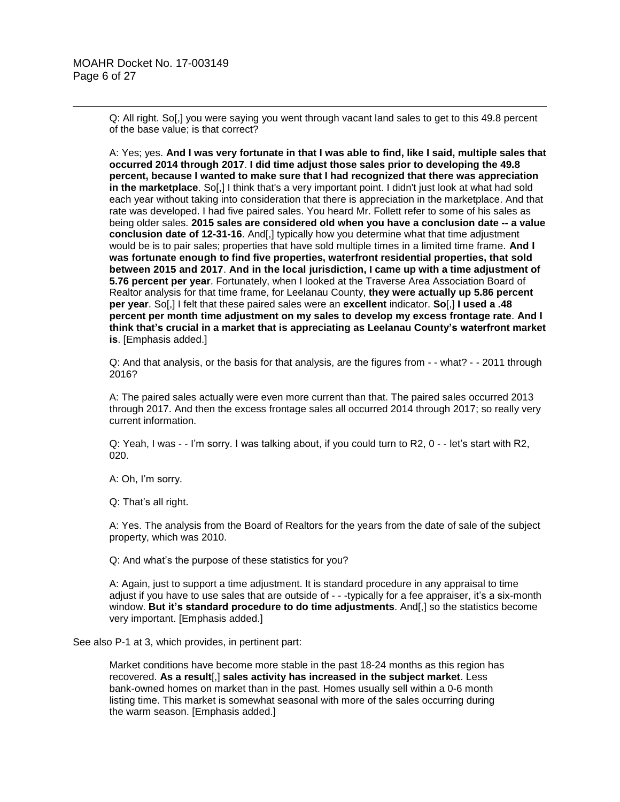Q: All right. So[,] you were saying you went through vacant land sales to get to this 49.8 percent of the base value; is that correct?

A: Yes; yes. **And I was very fortunate in that I was able to find, like I said, multiple sales that occurred 2014 through 2017**. **I did time adjust those sales prior to developing the 49.8 percent, because I wanted to make sure that I had recognized that there was appreciation in the marketplace**. So[,] I think that's a very important point. I didn't just look at what had sold each year without taking into consideration that there is appreciation in the marketplace. And that rate was developed. I had five paired sales. You heard Mr. Follett refer to some of his sales as being older sales. **2015 sales are considered old when you have a conclusion date -- a value conclusion date of 12-31-16**. And[,] typically how you determine what that time adjustment would be is to pair sales; properties that have sold multiple times in a limited time frame. **And I was fortunate enough to find five properties, waterfront residential properties, that sold between 2015 and 2017**. **And in the local jurisdiction, I came up with a time adjustment of 5.76 percent per year**. Fortunately, when I looked at the Traverse Area Association Board of Realtor analysis for that time frame, for Leelanau County, **they were actually up 5.86 percent per year**. So[,] I felt that these paired sales were an **excellent** indicator. **So**[,] **I used a .48 percent per month time adjustment on my sales to develop my excess frontage rate**. **And I think that's crucial in a market that is appreciating as Leelanau County's waterfront market is**. [Emphasis added.]

Q: And that analysis, or the basis for that analysis, are the figures from - - what? - - 2011 through 2016?

A: The paired sales actually were even more current than that. The paired sales occurred 2013 through 2017. And then the excess frontage sales all occurred 2014 through 2017; so really very current information.

Q: Yeah, I was - - I'm sorry. I was talking about, if you could turn to R2, 0 - - let's start with R2, 020.

A: Oh, I'm sorry.

Q: That's all right.

A: Yes. The analysis from the Board of Realtors for the years from the date of sale of the subject property, which was 2010.

Q: And what's the purpose of these statistics for you?

A: Again, just to support a time adjustment. It is standard procedure in any appraisal to time adjust if you have to use sales that are outside of - - -typically for a fee appraiser, it's a six-month window. **But it's standard procedure to do time adjustments**. And[,] so the statistics become very important. [Emphasis added.]

See also P-1 at 3, which provides, in pertinent part:

Market conditions have become more stable in the past 18-24 months as this region has recovered. **As a result**[,] **sales activity has increased in the subject market**. Less bank-owned homes on market than in the past. Homes usually sell within a 0-6 month listing time. This market is somewhat seasonal with more of the sales occurring during the warm season. [Emphasis added.]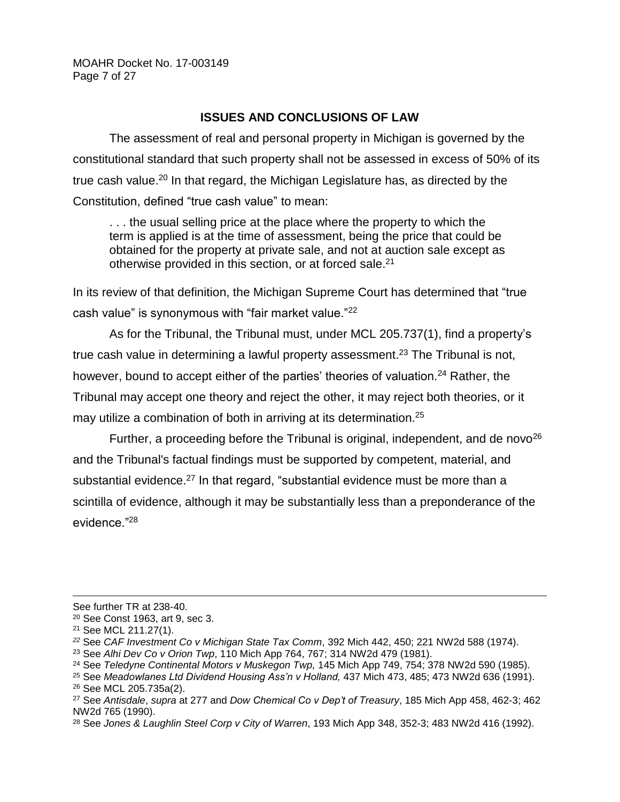MOAHR Docket No. 17-003149 Page 7 of 27

## **ISSUES AND CONCLUSIONS OF LAW**

The assessment of real and personal property in Michigan is governed by the constitutional standard that such property shall not be assessed in excess of 50% of its true cash value.<sup>20</sup> In that regard, the Michigan Legislature has, as directed by the Constitution, defined "true cash value" to mean:

. . . the usual selling price at the place where the property to which the term is applied is at the time of assessment, being the price that could be obtained for the property at private sale, and not at auction sale except as otherwise provided in this section, or at forced sale.<sup>21</sup>

In its review of that definition, the Michigan Supreme Court has determined that "true cash value" is synonymous with "fair market value."<sup>22</sup>

As for the Tribunal, the Tribunal must, under MCL 205.737(1), find a property's true cash value in determining a lawful property assessment.<sup>23</sup> The Tribunal is not, however, bound to accept either of the parties' theories of valuation.<sup>24</sup> Rather, the Tribunal may accept one theory and reject the other, it may reject both theories, or it may utilize a combination of both in arriving at its determination.<sup>25</sup>

Further, a proceeding before the Tribunal is original, independent, and de novo<sup>26</sup> and the Tribunal's factual findings must be supported by competent, material, and substantial evidence.<sup>27</sup> In that regard, "substantial evidence must be more than a scintilla of evidence, although it may be substantially less than a preponderance of the evidence."<sup>28</sup>

See further TR at 238-40.

<sup>20</sup> See Const 1963, art 9, sec 3.

<sup>21</sup> See MCL 211.27(1).

*<sup>22</sup>* See *CAF Investment Co v Michigan State Tax Comm*, 392 Mich 442, 450; 221 NW2d 588 (1974).

<sup>23</sup> See *Alhi Dev Co v Orion Twp*, 110 Mich App 764, 767; 314 NW2d 479 (1981).

<sup>24</sup> See *Teledyne Continental Motors v Muskegon Twp,* 145 Mich App 749, 754; 378 NW2d 590 (1985).

<sup>25</sup> See *Meadowlanes Ltd Dividend Housing Ass'n v Holland,* 437 Mich 473, 485; 473 NW2d 636 (1991).

<sup>26</sup> See MCL 205.735a(2).

<sup>27</sup> See *Antisdale*, *supra* at 277 and *Dow Chemical Co v Dep't of Treasury*, 185 Mich App 458, 462-3; 462 NW2d 765 (1990).

<sup>28</sup> See *Jones & Laughlin Steel Corp v City of Warren*, 193 Mich App 348, 352-3; 483 NW2d 416 (1992).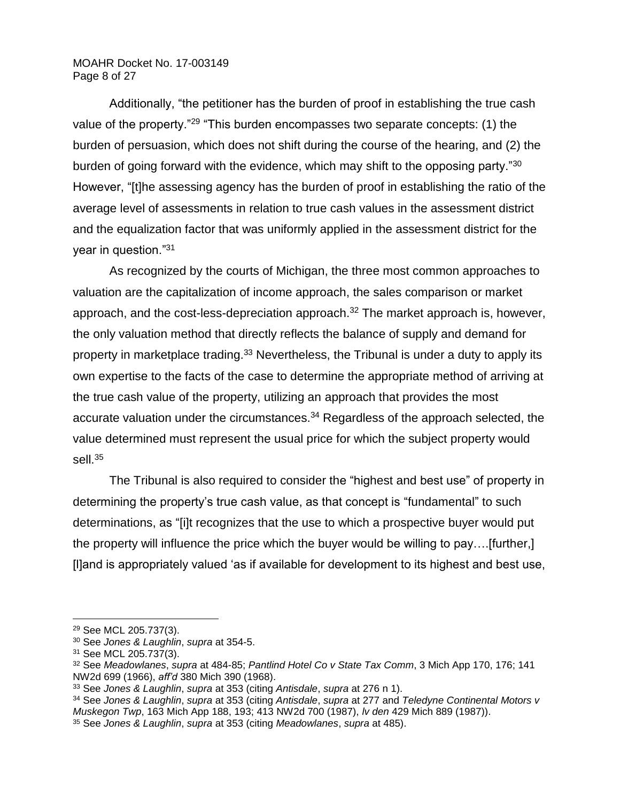## MOAHR Docket No. 17-003149 Page 8 of 27

Additionally, "the petitioner has the burden of proof in establishing the true cash value of the property."<sup>29</sup> "This burden encompasses two separate concepts: (1) the burden of persuasion, which does not shift during the course of the hearing, and (2) the burden of going forward with the evidence, which may shift to the opposing party."<sup>30</sup> However, "[t]he assessing agency has the burden of proof in establishing the ratio of the average level of assessments in relation to true cash values in the assessment district and the equalization factor that was uniformly applied in the assessment district for the year in question."<sup>31</sup>

As recognized by the courts of Michigan, the three most common approaches to valuation are the capitalization of income approach, the sales comparison or market approach, and the cost-less-depreciation approach.<sup>32</sup> The market approach is, however, the only valuation method that directly reflects the balance of supply and demand for property in marketplace trading.<sup>33</sup> Nevertheless, the Tribunal is under a duty to apply its own expertise to the facts of the case to determine the appropriate method of arriving at the true cash value of the property, utilizing an approach that provides the most accurate valuation under the circumstances.<sup>34</sup> Regardless of the approach selected, the value determined must represent the usual price for which the subject property would sell. $35$ 

The Tribunal is also required to consider the "highest and best use" of property in determining the property's true cash value, as that concept is "fundamental" to such determinations, as "[i]t recognizes that the use to which a prospective buyer would put the property will influence the price which the buyer would be willing to pay….[further,] [l]and is appropriately valued 'as if available for development to its highest and best use,

<sup>29</sup> See MCL 205.737(3).

<sup>30</sup> See *Jones & Laughlin*, *supra* at 354-5.

<sup>31</sup> See MCL 205.737(3).

<sup>32</sup> See *Meadowlanes*, *supra* at 484-85; *Pantlind Hotel Co v State Tax Comm*, 3 Mich App 170, 176; 141 NW2d 699 (1966), *aff'd* 380 Mich 390 (1968).

<sup>33</sup> See *Jones & Laughlin*, *supra* at 353 (citing *Antisdale*, *supra* at 276 n 1).

<sup>34</sup> See *Jones & Laughlin*, *supra* at 353 (citing *Antisdale*, *supra* at 277 and *Teledyne Continental Motors v Muskegon Twp*, 163 Mich App 188, 193; 413 NW2d 700 (1987), *lv den* 429 Mich 889 (1987)). <sup>35</sup> See *Jones & Laughlin*, *supra* at 353 (citing *Meadowlanes*, *supra* at 485).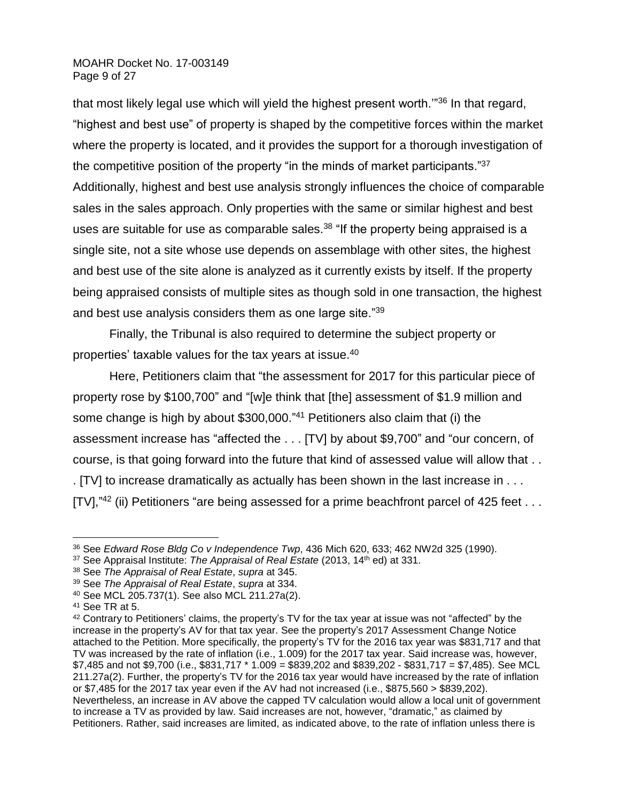MOAHR Docket No. 17-003149 Page 9 of 27

that most likely legal use which will yield the highest present worth.'"<sup>36</sup> In that regard, "highest and best use" of property is shaped by the competitive forces within the market where the property is located, and it provides the support for a thorough investigation of the competitive position of the property "in the minds of market participants."<sup>37</sup> Additionally, highest and best use analysis strongly influences the choice of comparable sales in the sales approach. Only properties with the same or similar highest and best uses are suitable for use as comparable sales. $38$  "If the property being appraised is a single site, not a site whose use depends on assemblage with other sites, the highest and best use of the site alone is analyzed as it currently exists by itself. If the property being appraised consists of multiple sites as though sold in one transaction, the highest and best use analysis considers them as one large site."<sup>39</sup>

Finally, the Tribunal is also required to determine the subject property or properties' taxable values for the tax years at issue.<sup>40</sup>

Here, Petitioners claim that "the assessment for 2017 for this particular piece of property rose by \$100,700" and "[w]e think that [the] assessment of \$1.9 million and some change is high by about \$300,000." <sup>41</sup> Petitioners also claim that (i) the assessment increase has "affected the . . . [TV] by about \$9,700" and "our concern, of course, is that going forward into the future that kind of assessed value will allow that . . . [TV] to increase dramatically as actually has been shown in the last increase in . . . [TV],"<sup>42</sup> (ii) Petitioners "are being assessed for a prime beachfront parcel of 425 feet  $\dots$ 

<sup>36</sup> See *Edward Rose Bldg Co v Independence Twp*, 436 Mich 620, 633; 462 NW2d 325 (1990).

<sup>37</sup> See Appraisal Institute: *The Appraisal of Real Estate* (2013, 14th ed) at 331.

<sup>38</sup> See *The Appraisal of Real Estate*, *supra* at 345.

<sup>39</sup> See *The Appraisal of Real Estate*, *supra* at 334.

<sup>40</sup> See MCL 205.737(1). See also MCL 211.27a(2).

<sup>41</sup> See TR at 5.

<sup>&</sup>lt;sup>42</sup> Contrary to Petitioners' claims, the property's TV for the tax year at issue was not "affected" by the increase in the property's AV for that tax year. See the property's 2017 Assessment Change Notice attached to the Petition. More specifically, the property's TV for the 2016 tax year was \$831,717 and that TV was increased by the rate of inflation (i.e., 1.009) for the 2017 tax year. Said increase was, however, \$7,485 and not \$9,700 (i.e., \$831,717 \* 1.009 = \$839,202 and \$839,202 - \$831,717 = \$7,485). See MCL 211.27a(2). Further, the property's TV for the 2016 tax year would have increased by the rate of inflation or  $$7,485$  for the 2017 tax year even if the AV had not increased (i.e.,  $$875,560 > $839,202$ ). Nevertheless, an increase in AV above the capped TV calculation would allow a local unit of government to increase a TV as provided by law. Said increases are not, however, "dramatic," as claimed by Petitioners. Rather, said increases are limited, as indicated above, to the rate of inflation unless there is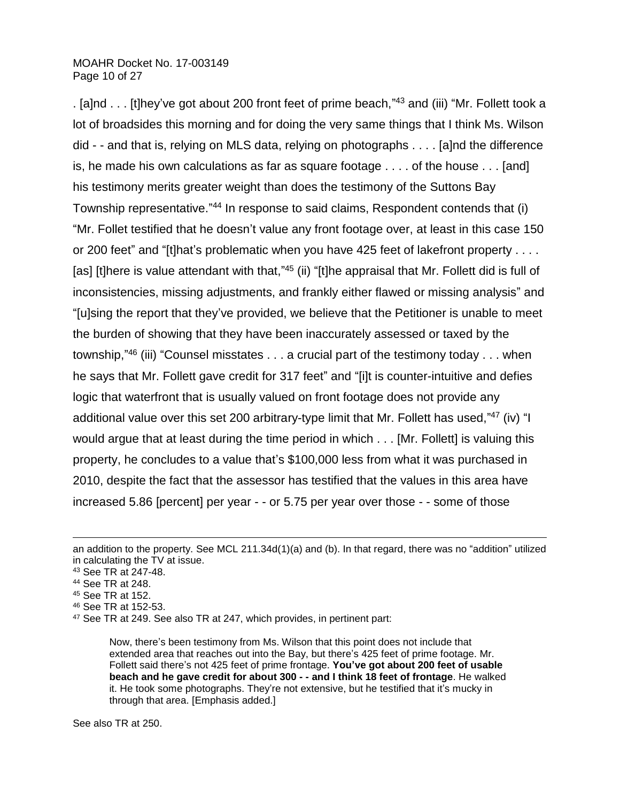MOAHR Docket No. 17-003149 Page 10 of 27

. [a]nd . . . [t]hey've got about 200 front feet of prime beach,"<sup>43</sup> and (iii) "Mr. Follett took a lot of broadsides this morning and for doing the very same things that I think Ms. Wilson did - - and that is, relying on MLS data, relying on photographs . . . . [a]nd the difference is, he made his own calculations as far as square footage . . . . of the house . . . [and] his testimony merits greater weight than does the testimony of the Suttons Bay Township representative."<sup>44</sup> In response to said claims, Respondent contends that (i) "Mr. Follet testified that he doesn't value any front footage over, at least in this case 150 or 200 feet" and "[t]hat's problematic when you have 425 feet of lakefront property . . . . [as] [t]here is value attendant with that,"<sup>45</sup> (ii) "[t]he appraisal that Mr. Follett did is full of inconsistencies, missing adjustments, and frankly either flawed or missing analysis" and "[u]sing the report that they've provided, we believe that the Petitioner is unable to meet the burden of showing that they have been inaccurately assessed or taxed by the township,"<sup>46</sup> (iii) "Counsel misstates . . . a crucial part of the testimony today . . . when he says that Mr. Follett gave credit for 317 feet" and "[i]t is counter-intuitive and defies logic that waterfront that is usually valued on front footage does not provide any additional value over this set 200 arbitrary-type limit that Mr. Follett has used,"<sup>47</sup> (iv) "I would argue that at least during the time period in which . . . [Mr. Follett] is valuing this property, he concludes to a value that's \$100,000 less from what it was purchased in 2010, despite the fact that the assessor has testified that the values in this area have increased 5.86 [percent] per year - - or 5.75 per year over those - - some of those

 $\overline{a}$ 

<sup>46</sup> See TR at 152-53.

Now, there's been testimony from Ms. Wilson that this point does not include that extended area that reaches out into the Bay, but there's 425 feet of prime footage. Mr. Follett said there's not 425 feet of prime frontage. **You've got about 200 feet of usable beach and he gave credit for about 300 - - and I think 18 feet of frontage**. He walked it. He took some photographs. They're not extensive, but he testified that it's mucky in through that area. [Emphasis added.]

See also TR at 250.

an addition to the property. See MCL 211.34d(1)(a) and (b). In that regard, there was no "addition" utilized in calculating the TV at issue.

<sup>43</sup> See TR at 247-48.

<sup>44</sup> See TR at 248.

<sup>45</sup> See TR at 152.

<sup>47</sup> See TR at 249. See also TR at 247, which provides, in pertinent part: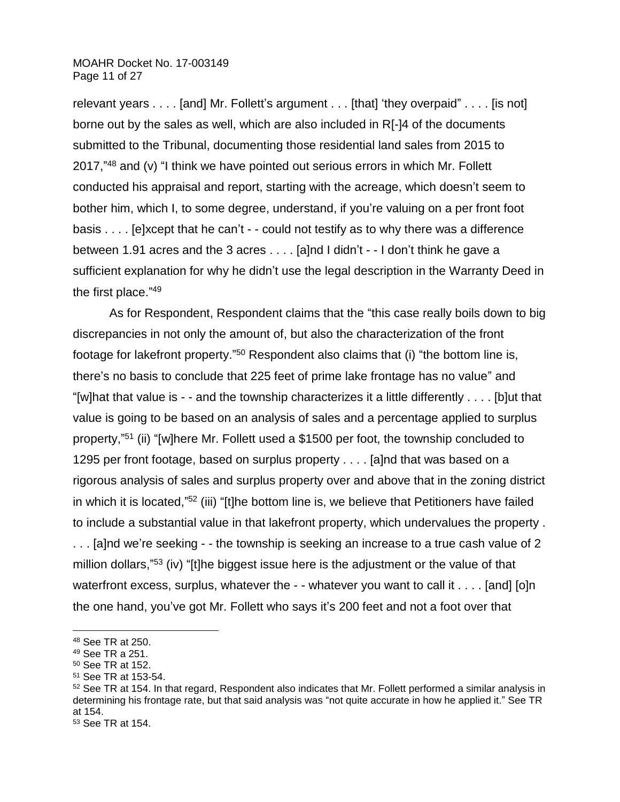### MOAHR Docket No. 17-003149 Page 11 of 27

relevant years . . . . [and] Mr. Follett's argument . . . [that] 'they overpaid" . . . . [is not] borne out by the sales as well, which are also included in R[-]4 of the documents submitted to the Tribunal, documenting those residential land sales from 2015 to 2017,"<sup>48</sup> and (v) "I think we have pointed out serious errors in which Mr. Follett conducted his appraisal and report, starting with the acreage, which doesn't seem to bother him, which I, to some degree, understand, if you're valuing on a per front foot basis . . . . [e]xcept that he can't - - could not testify as to why there was a difference between 1.91 acres and the 3 acres . . . . [a]nd I didn't - - I don't think he gave a sufficient explanation for why he didn't use the legal description in the Warranty Deed in the first place." 49

As for Respondent, Respondent claims that the "this case really boils down to big discrepancies in not only the amount of, but also the characterization of the front footage for lakefront property."<sup>50</sup> Respondent also claims that (i) "the bottom line is, there's no basis to conclude that 225 feet of prime lake frontage has no value" and "[w]hat that value is - - and the township characterizes it a little differently . . . . [b]ut that value is going to be based on an analysis of sales and a percentage applied to surplus property,"<sup>51</sup> (ii) "[w]here Mr. Follett used a \$1500 per foot, the township concluded to 1295 per front footage, based on surplus property . . . . [a]nd that was based on a rigorous analysis of sales and surplus property over and above that in the zoning district in which it is located,"<sup>52</sup> (iii) "[t]he bottom line is, we believe that Petitioners have failed to include a substantial value in that lakefront property, which undervalues the property . . . . [a]nd we're seeking - - the township is seeking an increase to a true cash value of 2 million dollars,"<sup>53</sup> (iv) "[t]he biggest issue here is the adjustment or the value of that waterfront excess, surplus, whatever the - - whatever you want to call it . . . . [and] [o]n the one hand, you've got Mr. Follett who says it's 200 feet and not a foot over that

<sup>48</sup> See TR at 250.

<sup>49</sup> See TR a 251.

<sup>50</sup> See TR at 152.

<sup>51</sup> See TR at 153-54.

<sup>&</sup>lt;sup>52</sup> See TR at 154. In that regard, Respondent also indicates that Mr. Follett performed a similar analysis in determining his frontage rate, but that said analysis was "not quite accurate in how he applied it." See TR at 154.

<sup>53</sup> See TR at 154.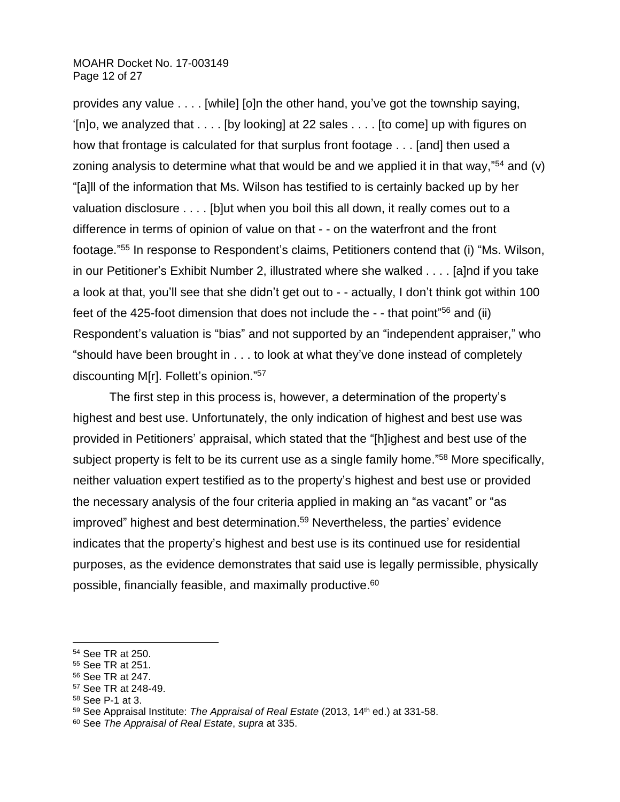### MOAHR Docket No. 17-003149 Page 12 of 27

provides any value . . . . [while] [o]n the other hand, you've got the township saying, '[n]o, we analyzed that . . . . [by looking] at 22 sales . . . . [to come] up with figures on how that frontage is calculated for that surplus front footage . . . [and] then used a zoning analysis to determine what that would be and we applied it in that way," $54$  and (v) "[a]ll of the information that Ms. Wilson has testified to is certainly backed up by her valuation disclosure . . . . [b]ut when you boil this all down, it really comes out to a difference in terms of opinion of value on that - - on the waterfront and the front footage."<sup>55</sup> In response to Respondent's claims, Petitioners contend that (i) "Ms. Wilson, in our Petitioner's Exhibit Number 2, illustrated where she walked . . . . [a]nd if you take a look at that, you'll see that she didn't get out to - - actually, I don't think got within 100 feet of the 425-foot dimension that does not include the - - that point"<sup>56</sup> and (ii) Respondent's valuation is "bias" and not supported by an "independent appraiser," who "should have been brought in . . . to look at what they've done instead of completely discounting M[r]. Follett's opinion."<sup>57</sup>

The first step in this process is, however, a determination of the property's highest and best use. Unfortunately, the only indication of highest and best use was provided in Petitioners' appraisal, which stated that the "[h]ighest and best use of the subject property is felt to be its current use as a single family home."<sup>58</sup> More specifically, neither valuation expert testified as to the property's highest and best use or provided the necessary analysis of the four criteria applied in making an "as vacant" or "as improved" highest and best determination. <sup>59</sup> Nevertheless, the parties' evidence indicates that the property's highest and best use is its continued use for residential purposes, as the evidence demonstrates that said use is legally permissible, physically possible, financially feasible, and maximally productive. 60

<sup>54</sup> See TR at 250.

<sup>55</sup> See TR at 251.

<sup>56</sup> See TR at 247.

<sup>57</sup> See TR at 248-49.

<sup>58</sup> See P-1 at 3.

<sup>59</sup> See Appraisal Institute: *The Appraisal of Real Estate* (2013, 14th ed.) at 331-58.

<sup>60</sup> See *The Appraisal of Real Estate*, *supra* at 335.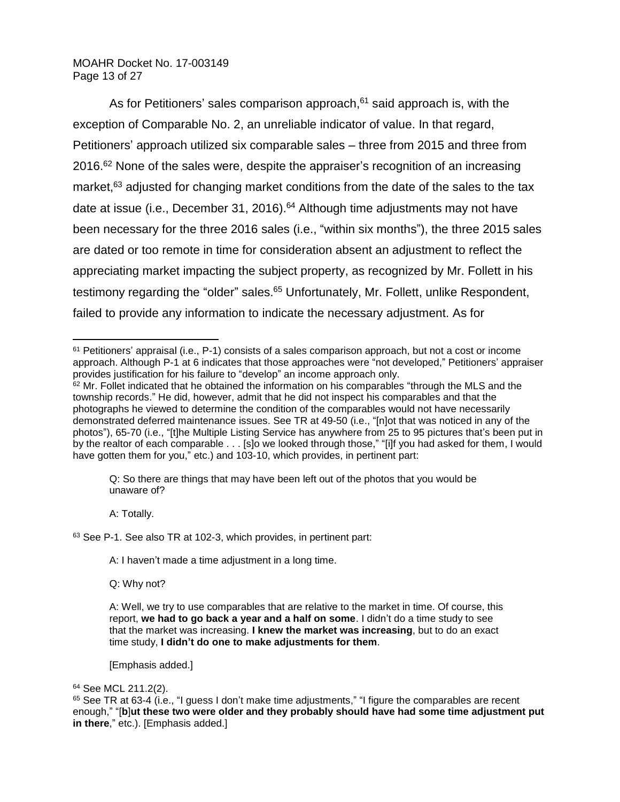### MOAHR Docket No. 17-003149 Page 13 of 27

As for Petitioners' sales comparison approach, $61$  said approach is, with the exception of Comparable No. 2, an unreliable indicator of value. In that regard, Petitioners' approach utilized six comparable sales – three from 2015 and three from 2016.<sup>62</sup> None of the sales were, despite the appraiser's recognition of an increasing market,<sup>63</sup> adjusted for changing market conditions from the date of the sales to the tax date at issue (i.e., December 31, 2016).<sup>64</sup> Although time adjustments may not have been necessary for the three 2016 sales (i.e., "within six months"), the three 2015 sales are dated or too remote in time for consideration absent an adjustment to reflect the appreciating market impacting the subject property, as recognized by Mr. Follett in his testimony regarding the "older" sales.<sup>65</sup> Unfortunately, Mr. Follett, unlike Respondent, failed to provide any information to indicate the necessary adjustment. As for

Q: So there are things that may have been left out of the photos that you would be unaware of?

A: Totally.

 $\overline{a}$ 

<sup>63</sup> See P-1. See also TR at 102-3, which provides, in pertinent part:

A: I haven't made a time adjustment in a long time.

Q: Why not?

[Emphasis added.]

<sup>61</sup> Petitioners' appraisal (i.e., P-1) consists of a sales comparison approach, but not a cost or income approach. Although P-1 at 6 indicates that those approaches were "not developed," Petitioners' appraiser provides justification for his failure to "develop" an income approach only.

 $62$  Mr. Follet indicated that he obtained the information on his comparables "through the MLS and the township records." He did, however, admit that he did not inspect his comparables and that the photographs he viewed to determine the condition of the comparables would not have necessarily demonstrated deferred maintenance issues. See TR at 49-50 (i.e., "[n]ot that was noticed in any of the photos"), 65-70 (i.e., "[t]he Multiple Listing Service has anywhere from 25 to 95 pictures that's been put in by the realtor of each comparable . . . [s]o we looked through those," "[i]f you had asked for them, I would have gotten them for you," etc.) and 103-10, which provides, in pertinent part:

A: Well, we try to use comparables that are relative to the market in time. Of course, this report, **we had to go back a year and a half on some**. I didn't do a time study to see that the market was increasing. **I knew the market was increasing**, but to do an exact time study, **I didn't do one to make adjustments for them**.

<sup>64</sup> See MCL 211.2(2).

<sup>65</sup> See TR at 63-4 (i.e., "I guess I don't make time adjustments," "I figure the comparables are recent enough," "[**b**]**ut these two were older and they probably should have had some time adjustment put in there**," etc.). [Emphasis added.]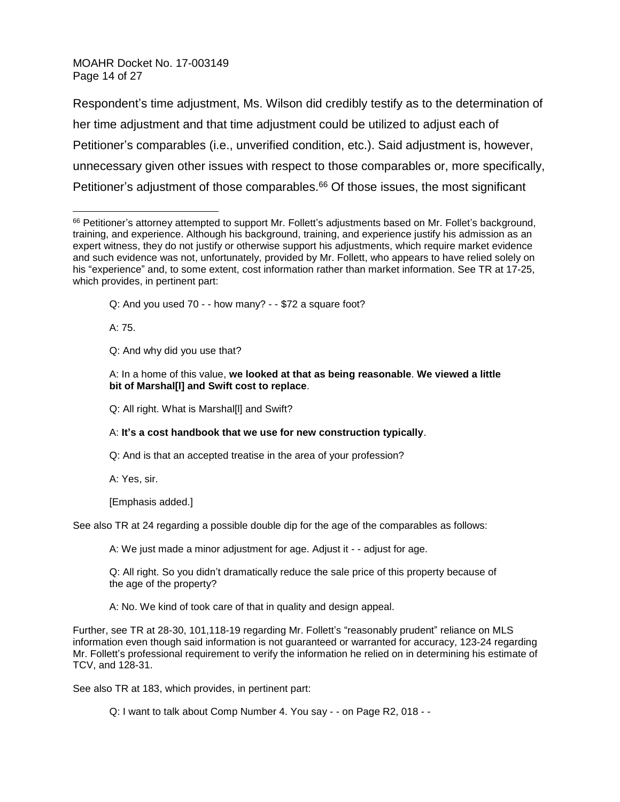MOAHR Docket No. 17-003149 Page 14 of 27

Respondent's time adjustment, Ms. Wilson did credibly testify as to the determination of her time adjustment and that time adjustment could be utilized to adjust each of Petitioner's comparables (i.e., unverified condition, etc.). Said adjustment is, however, unnecessary given other issues with respect to those comparables or, more specifically, Petitioner's adjustment of those comparables. $66$  Of those issues, the most significant

Q: And you used 70 - - how many? - - \$72 a square foot?

A: 75.

Q: And why did you use that?

Q: All right. What is Marshal[l] and Swift?

A: **It's a cost handbook that we use for new construction typically**.

Q: And is that an accepted treatise in the area of your profession?

A: Yes, sir.

[Emphasis added.]

See also TR at 24 regarding a possible double dip for the age of the comparables as follows:

A: We just made a minor adjustment for age. Adjust it - - adjust for age.

Q: All right. So you didn't dramatically reduce the sale price of this property because of the age of the property?

A: No. We kind of took care of that in quality and design appeal.

Further, see TR at 28-30, 101,118-19 regarding Mr. Follett's "reasonably prudent" reliance on MLS information even though said information is not guaranteed or warranted for accuracy, 123-24 regarding Mr. Follett's professional requirement to verify the information he relied on in determining his estimate of TCV, and 128-31.

See also TR at 183, which provides, in pertinent part:

Q: I want to talk about Comp Number 4. You say - - on Page R2, 018 - -

 $\overline{a}$ 66 Petitioner's attorney attempted to support Mr. Follett's adjustments based on Mr. Follet's background, training, and experience. Although his background, training, and experience justify his admission as an expert witness, they do not justify or otherwise support his adjustments, which require market evidence and such evidence was not, unfortunately, provided by Mr. Follett, who appears to have relied solely on his "experience" and, to some extent, cost information rather than market information. See TR at 17-25, which provides, in pertinent part:

A: In a home of this value, **we looked at that as being reasonable**. **We viewed a little bit of Marshal[l] and Swift cost to replace**.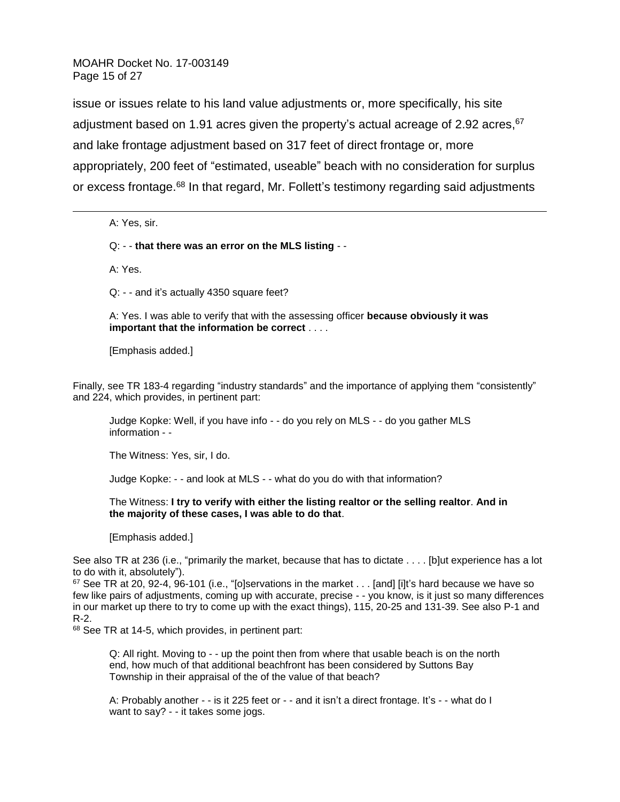MOAHR Docket No. 17-003149 Page 15 of 27

issue or issues relate to his land value adjustments or, more specifically, his site adjustment based on 1.91 acres given the property's actual acreage of 2.92 acres, 67 and lake frontage adjustment based on 317 feet of direct frontage or, more appropriately, 200 feet of "estimated, useable" beach with no consideration for surplus or excess frontage.<sup>68</sup> In that regard, Mr. Follett's testimony regarding said adjustments

A: Yes, sir.

 $\overline{a}$ 

Q: - - **that there was an error on the MLS listing** - -

A: Yes.

Q: - - and it's actually 4350 square feet?

A: Yes. I was able to verify that with the assessing officer **because obviously it was important that the information be correct** . . . .

[Emphasis added.]

Finally, see TR 183-4 regarding "industry standards" and the importance of applying them "consistently" and 224, which provides, in pertinent part:

Judge Kopke: Well, if you have info - - do you rely on MLS - - do you gather MLS information - -

The Witness: Yes, sir, I do.

Judge Kopke: - - and look at MLS - - what do you do with that information?

The Witness: **I try to verify with either the listing realtor or the selling realtor**. **And in the majority of these cases, I was able to do that**.

[Emphasis added.]

See also TR at 236 (i.e., "primarily the market, because that has to dictate . . . . [b]ut experience has a lot to do with it, absolutely").

 $67$  See TR at 20, 92-4, 96-101 (i.e., "[o]servations in the market . . . [and] [i]t's hard because we have so few like pairs of adjustments, coming up with accurate, precise - - you know, is it just so many differences in our market up there to try to come up with the exact things), 115, 20-25 and 131-39. See also P-1 and R-2.

68 See TR at 14-5, which provides, in pertinent part:

Q: All right. Moving to - - up the point then from where that usable beach is on the north end, how much of that additional beachfront has been considered by Suttons Bay Township in their appraisal of the of the value of that beach?

A: Probably another - - is it 225 feet or - - and it isn't a direct frontage. It's - - what do I want to say? - - it takes some jogs.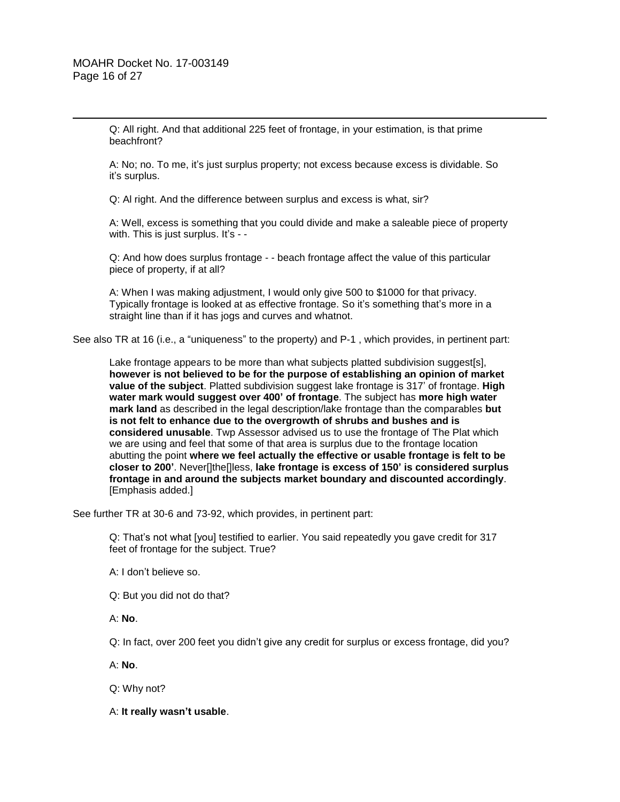Q: All right. And that additional 225 feet of frontage, in your estimation, is that prime beachfront?

A: No; no. To me, it's just surplus property; not excess because excess is dividable. So it's surplus.

Q: Al right. And the difference between surplus and excess is what, sir?

A: Well, excess is something that you could divide and make a saleable piece of property with. This is just surplus. It's - -

Q: And how does surplus frontage - - beach frontage affect the value of this particular piece of property, if at all?

A: When I was making adjustment, I would only give 500 to \$1000 for that privacy. Typically frontage is looked at as effective frontage. So it's something that's more in a straight line than if it has jogs and curves and whatnot.

See also TR at 16 (i.e., a "uniqueness" to the property) and P-1 , which provides, in pertinent part:

Lake frontage appears to be more than what subjects platted subdivision suggest[s], **however is not believed to be for the purpose of establishing an opinion of market value of the subject**. Platted subdivision suggest lake frontage is 317' of frontage. **High water mark would suggest over 400' of frontage**. The subject has **more high water mark land** as described in the legal description/lake frontage than the comparables **but is not felt to enhance due to the overgrowth of shrubs and bushes and is considered unusable**. Twp Assessor advised us to use the frontage of The Plat which we are using and feel that some of that area is surplus due to the frontage location abutting the point **where we feel actually the effective or usable frontage is felt to be closer to 200'**. Never[]the[]less, **lake frontage is excess of 150' is considered surplus frontage in and around the subjects market boundary and discounted accordingly**. [Emphasis added.]

See further TR at 30-6 and 73-92, which provides, in pertinent part:

Q: That's not what [you] testified to earlier. You said repeatedly you gave credit for 317 feet of frontage for the subject. True?

A: I don't believe so.

Q: But you did not do that?

A: **No**.

Q: In fact, over 200 feet you didn't give any credit for surplus or excess frontage, did you?

A: **No**.

Q: Why not?

A: **It really wasn't usable**.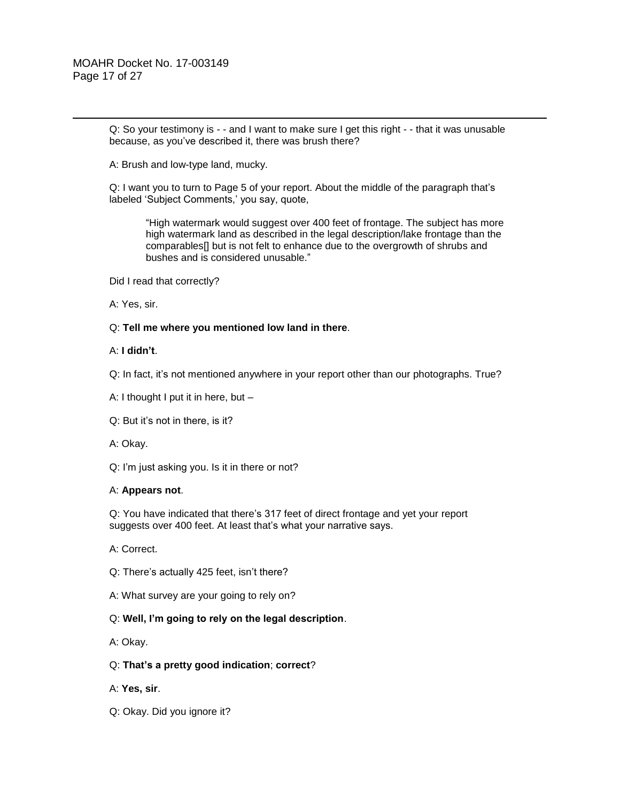Q: So your testimony is - - and I want to make sure I get this right - - that it was unusable because, as you've described it, there was brush there?

A: Brush and low-type land, mucky.

Q: I want you to turn to Page 5 of your report. About the middle of the paragraph that's labeled 'Subject Comments,' you say, quote,

"High watermark would suggest over 400 feet of frontage. The subject has more high watermark land as described in the legal description/lake frontage than the comparables[] but is not felt to enhance due to the overgrowth of shrubs and bushes and is considered unusable."

Did I read that correctly?

A: Yes, sir.

#### Q: **Tell me where you mentioned low land in there**.

#### A: **I didn't**.

Q: In fact, it's not mentioned anywhere in your report other than our photographs. True?

- A: I thought I put it in here, but –
- Q: But it's not in there, is it?
- A: Okay.

Q: I'm just asking you. Is it in there or not?

#### A: **Appears not**.

Q: You have indicated that there's 317 feet of direct frontage and yet your report suggests over 400 feet. At least that's what your narrative says.

A: Correct.

- Q: There's actually 425 feet, isn't there?
- A: What survey are your going to rely on?

#### Q: **Well, I'm going to rely on the legal description**.

A: Okay.

#### Q: **That's a pretty good indication**; **correct**?

- A: **Yes, sir**.
- Q: Okay. Did you ignore it?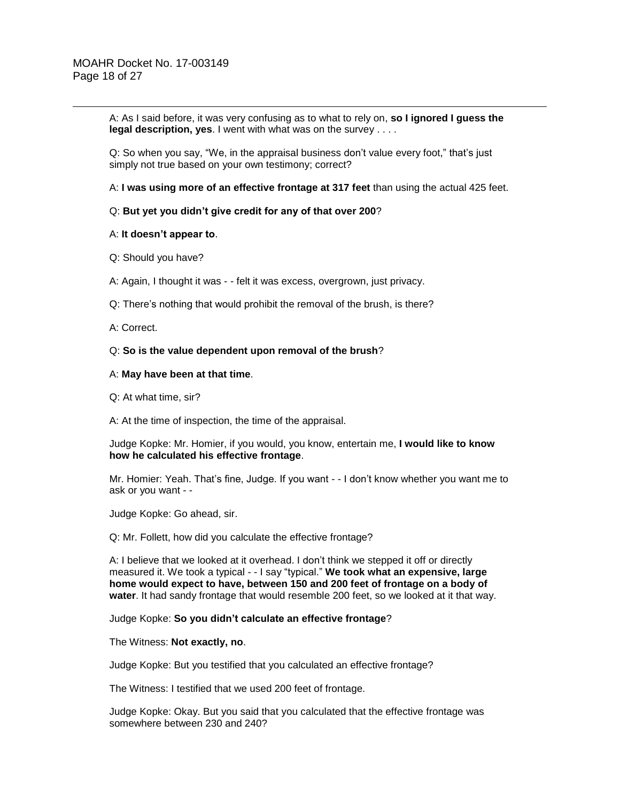A: As I said before, it was very confusing as to what to rely on, **so I ignored I guess the legal description, yes**. I went with what was on the survey . . . .

Q: So when you say, "We, in the appraisal business don't value every foot," that's just simply not true based on your own testimony; correct?

A: **I was using more of an effective frontage at 317 feet** than using the actual 425 feet.

#### Q: **But yet you didn't give credit for any of that over 200**?

#### A: **It doesn't appear to**.

- Q: Should you have?
- A: Again, I thought it was - felt it was excess, overgrown, just privacy.
- Q: There's nothing that would prohibit the removal of the brush, is there?

A: Correct.

#### Q: **So is the value dependent upon removal of the brush**?

#### A: **May have been at that time**.

Q: At what time, sir?

A: At the time of inspection, the time of the appraisal.

Judge Kopke: Mr. Homier, if you would, you know, entertain me, **I would like to know how he calculated his effective frontage**.

Mr. Homier: Yeah. That's fine, Judge. If you want - - I don't know whether you want me to ask or you want - -

Judge Kopke: Go ahead, sir.

Q: Mr. Follett, how did you calculate the effective frontage?

A: I believe that we looked at it overhead. I don't think we stepped it off or directly measured it. We took a typical - - I say "typical." **We took what an expensive, large home would expect to have, between 150 and 200 feet of frontage on a body of water**. It had sandy frontage that would resemble 200 feet, so we looked at it that way.

Judge Kopke: **So you didn't calculate an effective frontage**?

#### The Witness: **Not exactly, no**.

Judge Kopke: But you testified that you calculated an effective frontage?

The Witness: I testified that we used 200 feet of frontage.

Judge Kopke: Okay. But you said that you calculated that the effective frontage was somewhere between 230 and 240?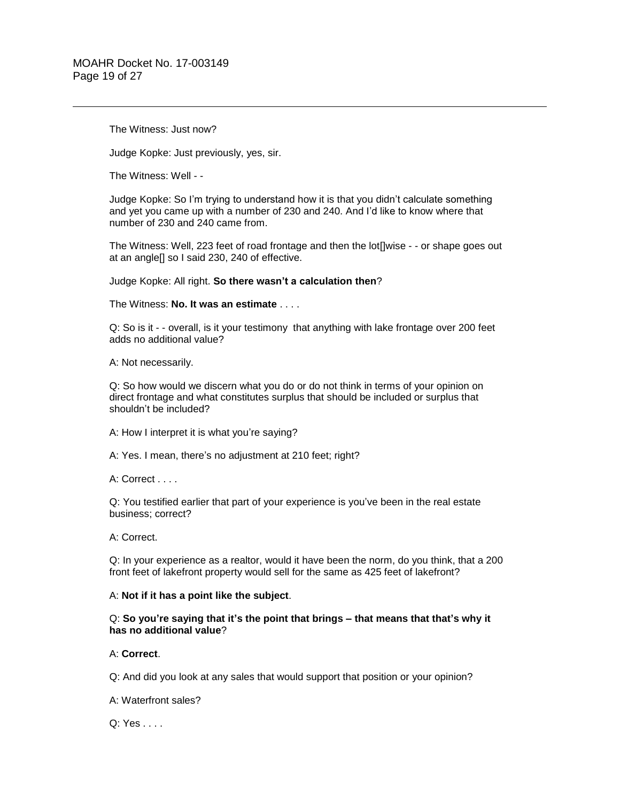The Witness: Just now?

Judge Kopke: Just previously, yes, sir.

The Witness: Well - -

Judge Kopke: So I'm trying to understand how it is that you didn't calculate something and yet you came up with a number of 230 and 240. And I'd like to know where that number of 230 and 240 came from.

The Witness: Well, 223 feet of road frontage and then the lot[]wise - - or shape goes out at an angle[] so I said 230, 240 of effective.

Judge Kopke: All right. **So there wasn't a calculation then**?

The Witness: **No. It was an estimate** . . . .

Q: So is it - - overall, is it your testimony that anything with lake frontage over 200 feet adds no additional value?

A: Not necessarily.

Q: So how would we discern what you do or do not think in terms of your opinion on direct frontage and what constitutes surplus that should be included or surplus that shouldn't be included?

A: How I interpret it is what you're saying?

A: Yes. I mean, there's no adjustment at 210 feet; right?

A: Correct . . . .

Q: You testified earlier that part of your experience is you've been in the real estate business; correct?

A: Correct.

Q: In your experience as a realtor, would it have been the norm, do you think, that a 200 front feet of lakefront property would sell for the same as 425 feet of lakefront?

#### A: **Not if it has a point like the subject**.

Q: **So you're saying that it's the point that brings – that means that that's why it has no additional value**?

#### A: **Correct**.

Q: And did you look at any sales that would support that position or your opinion?

A: Waterfront sales?

Q: Yes . . . .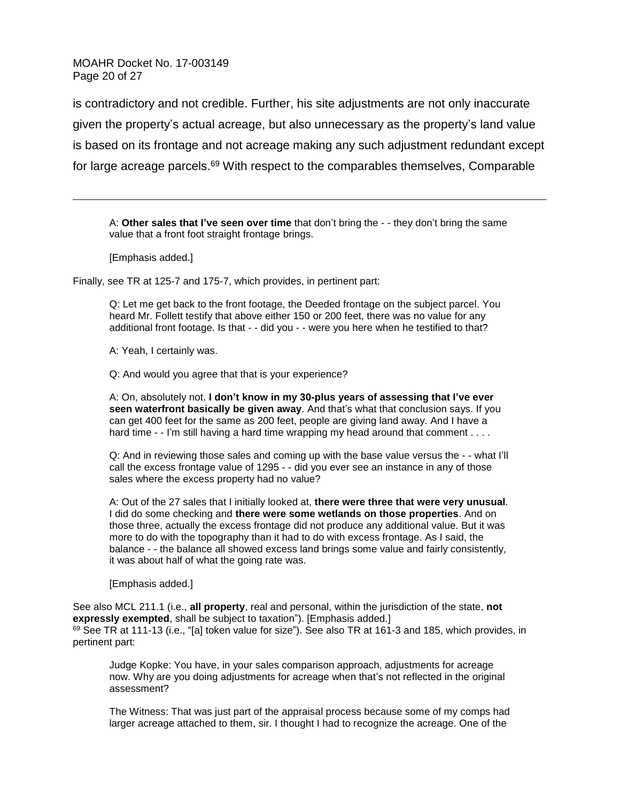MOAHR Docket No. 17-003149 Page 20 of 27

is contradictory and not credible. Further, his site adjustments are not only inaccurate given the property's actual acreage, but also unnecessary as the property's land value is based on its frontage and not acreage making any such adjustment redundant except for large acreage parcels.<sup>69</sup> With respect to the comparables themselves, Comparable

A: **Other sales that I've seen over time** that don't bring the - - they don't bring the same value that a front foot straight frontage brings.

[Emphasis added.]

 $\overline{a}$ 

Finally, see TR at 125-7 and 175-7, which provides, in pertinent part:

Q: Let me get back to the front footage, the Deeded frontage on the subject parcel. You heard Mr. Follett testify that above either 150 or 200 feet, there was no value for any additional front footage. Is that - - did you - - were you here when he testified to that?

A: Yeah, I certainly was.

Q: And would you agree that that is your experience?

A: On, absolutely not. **I don't know in my 30-plus years of assessing that I've ever**  seen waterfront basically be given away. And that's what that conclusion says. If you can get 400 feet for the same as 200 feet, people are giving land away. And I have a hard time - - I'm still having a hard time wrapping my head around that comment . . . .

Q: And in reviewing those sales and coming up with the base value versus the - - what I'll call the excess frontage value of 1295 - - did you ever see an instance in any of those sales where the excess property had no value?

A: Out of the 27 sales that I initially looked at, **there were three that were very unusual**. I did do some checking and **there were some wetlands on those properties**. And on those three, actually the excess frontage did not produce any additional value. But it was more to do with the topography than it had to do with excess frontage. As I said, the balance - - the balance all showed excess land brings some value and fairly consistently, it was about half of what the going rate was.

[Emphasis added.]

See also MCL 211.1 (i.e., **all property**, real and personal, within the jurisdiction of the state, **not expressly exempted**, shall be subject to taxation"). [Emphasis added.] 69 See TR at 111-13 (i.e., "[a] token value for size"). See also TR at 161-3 and 185, which provides, in pertinent part:

Judge Kopke: You have, in your sales comparison approach, adjustments for acreage now. Why are you doing adjustments for acreage when that's not reflected in the original assessment?

The Witness: That was just part of the appraisal process because some of my comps had larger acreage attached to them, sir. I thought I had to recognize the acreage. One of the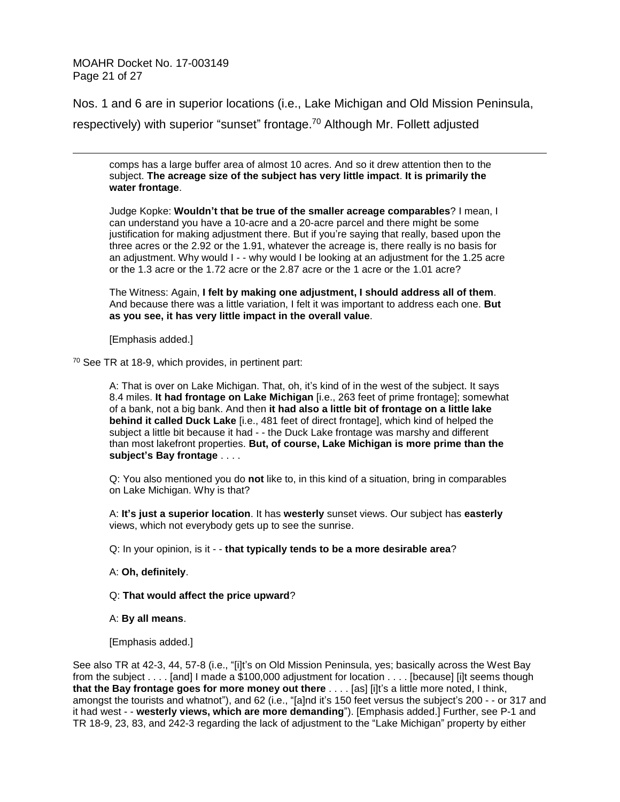MOAHR Docket No. 17-003149 Page 21 of 27

 $\overline{a}$ 

Nos. 1 and 6 are in superior locations (i.e., Lake Michigan and Old Mission Peninsula, respectively) with superior "sunset" frontage.<sup>70</sup> Although Mr. Follett adjusted

comps has a large buffer area of almost 10 acres. And so it drew attention then to the subject. **The acreage size of the subject has very little impact**. **It is primarily the water frontage**.

Judge Kopke: **Wouldn't that be true of the smaller acreage comparables**? I mean, I can understand you have a 10-acre and a 20-acre parcel and there might be some justification for making adjustment there. But if you're saying that really, based upon the three acres or the 2.92 or the 1.91, whatever the acreage is, there really is no basis for an adjustment. Why would I - - why would I be looking at an adjustment for the 1.25 acre or the 1.3 acre or the 1.72 acre or the 2.87 acre or the 1 acre or the 1.01 acre?

The Witness: Again, **I felt by making one adjustment, I should address all of them**. And because there was a little variation, I felt it was important to address each one. **But as you see, it has very little impact in the overall value**.

[Emphasis added.]

<sup>70</sup> See TR at 18-9, which provides, in pertinent part:

A: That is over on Lake Michigan. That, oh, it's kind of in the west of the subject. It says 8.4 miles. **It had frontage on Lake Michigan** [i.e., 263 feet of prime frontage]; somewhat of a bank, not a big bank. And then **it had also a little bit of frontage on a little lake behind it called Duck Lake** [i.e., 481 feet of direct frontage], which kind of helped the subject a little bit because it had - - the Duck Lake frontage was marshy and different than most lakefront properties. **But, of course, Lake Michigan is more prime than the subject's Bay frontage** . . . .

Q: You also mentioned you do **not** like to, in this kind of a situation, bring in comparables on Lake Michigan. Why is that?

A: **It's just a superior location**. It has **westerly** sunset views. Our subject has **easterly** views, which not everybody gets up to see the sunrise.

Q: In your opinion, is it - - **that typically tends to be a more desirable area**?

### A: **Oh, definitely**.

Q: **That would affect the price upward**?

A: **By all means**.

[Emphasis added.]

See also TR at 42-3, 44, 57-8 (i.e., "[i]t's on Old Mission Peninsula, yes; basically across the West Bay from the subject . . . . [and] I made a \$100,000 adjustment for location . . . . [because] [i]t seems though **that the Bay frontage goes for more money out there** . . . . [as] [i]t's a little more noted, I think, amongst the tourists and whatnot"), and 62 (i.e., "[a]nd it's 150 feet versus the subject's 200 - - or 317 and it had west - - **westerly views, which are more demanding**"). [Emphasis added.] Further, see P-1 and TR 18-9, 23, 83, and 242-3 regarding the lack of adjustment to the "Lake Michigan" property by either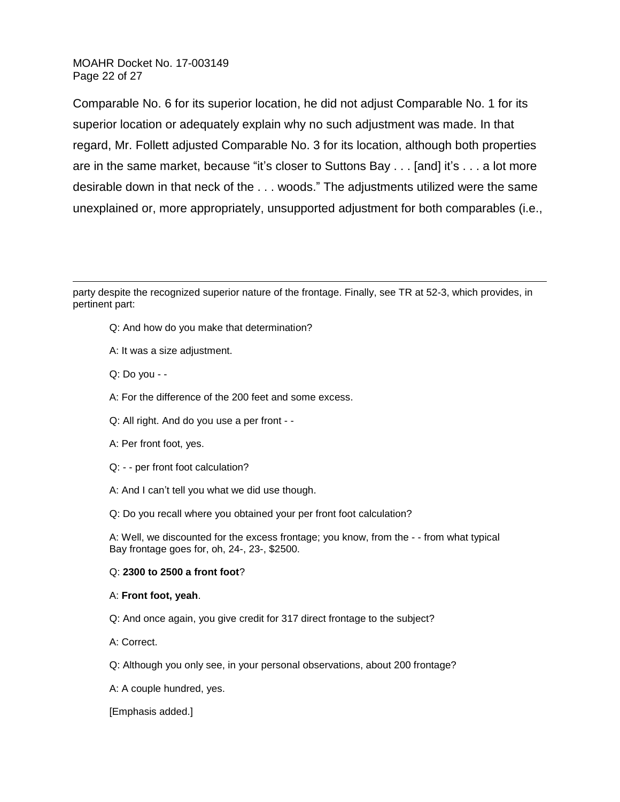MOAHR Docket No. 17-003149 Page 22 of 27

Comparable No. 6 for its superior location, he did not adjust Comparable No. 1 for its superior location or adequately explain why no such adjustment was made. In that regard, Mr. Follett adjusted Comparable No. 3 for its location, although both properties are in the same market, because "it's closer to Suttons Bay . . . [and] it's . . . a lot more desirable down in that neck of the . . . woods." The adjustments utilized were the same unexplained or, more appropriately, unsupported adjustment for both comparables (i.e.,

party despite the recognized superior nature of the frontage. Finally, see TR at 52-3, which provides, in pertinent part:

Q: And how do you make that determination?

- A: It was a size adjustment.
- Q: Do you -

 $\overline{a}$ 

- A: For the difference of the 200 feet and some excess.
- Q: All right. And do you use a per front -
- A: Per front foot, yes.
- Q: - per front foot calculation?
- A: And I can't tell you what we did use though.
- Q: Do you recall where you obtained your per front foot calculation?

A: Well, we discounted for the excess frontage; you know, from the - - from what typical Bay frontage goes for, oh, 24-, 23-, \$2500.

#### Q: **2300 to 2500 a front foot**?

#### A: **Front foot, yeah**.

- Q: And once again, you give credit for 317 direct frontage to the subject?
- A: Correct.
- Q: Although you only see, in your personal observations, about 200 frontage?
- A: A couple hundred, yes.

[Emphasis added.]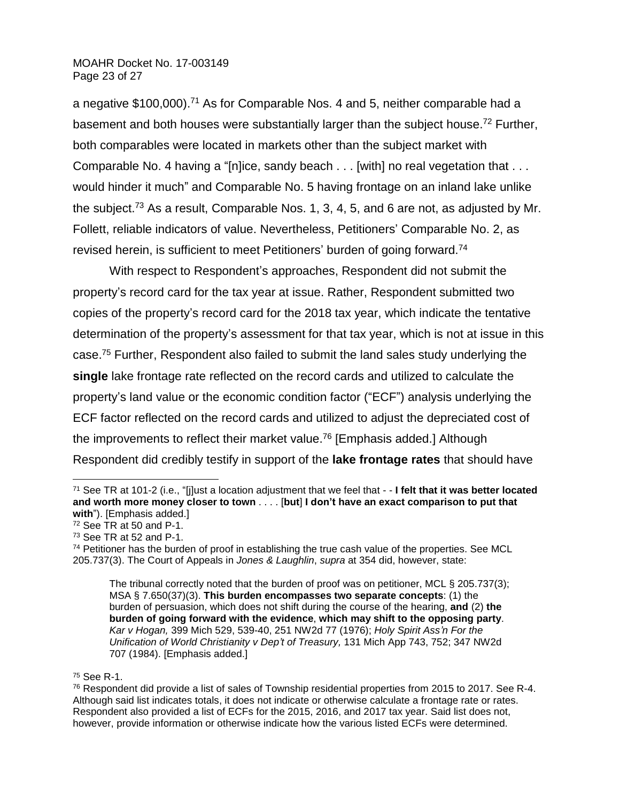## MOAHR Docket No. 17-003149 Page 23 of 27

a negative \$100,000).<sup>71</sup> As for Comparable Nos. 4 and 5, neither comparable had a basement and both houses were substantially larger than the subject house.<sup>72</sup> Further, both comparables were located in markets other than the subject market with Comparable No. 4 having a "[n]ice, sandy beach . . . [with] no real vegetation that . . . would hinder it much" and Comparable No. 5 having frontage on an inland lake unlike the subject.<sup>73</sup> As a result, Comparable Nos. 1, 3, 4, 5, and 6 are not, as adjusted by Mr. Follett, reliable indicators of value. Nevertheless, Petitioners' Comparable No. 2, as revised herein, is sufficient to meet Petitioners' burden of going forward.<sup>74</sup>

With respect to Respondent's approaches, Respondent did not submit the property's record card for the tax year at issue. Rather, Respondent submitted two copies of the property's record card for the 2018 tax year, which indicate the tentative determination of the property's assessment for that tax year, which is not at issue in this case.<sup>75</sup> Further, Respondent also failed to submit the land sales study underlying the **single** lake frontage rate reflected on the record cards and utilized to calculate the property's land value or the economic condition factor ("ECF") analysis underlying the ECF factor reflected on the record cards and utilized to adjust the depreciated cost of the improvements to reflect their market value.<sup>76</sup> [Emphasis added.] Although Respondent did credibly testify in support of the **lake frontage rates** that should have

<sup>75</sup> See R-1.

<sup>71</sup> See TR at 101-2 (i.e., "[j]ust a location adjustment that we feel that - - **I felt that it was better located and worth more money closer to town** . . . . [**but**] **I don't have an exact comparison to put that with**"). [Emphasis added.]

<sup>72</sup> See TR at 50 and P-1.

<sup>73</sup> See TR at 52 and P-1.

 $74$  Petitioner has the burden of proof in establishing the true cash value of the properties. See MCL 205.737(3). The Court of Appeals in *Jones & Laughlin*, *supra* at 354 did, however, state:

The tribunal correctly noted that the burden of proof was on petitioner, MCL § 205.737(3); MSA § 7.650(37)(3). **This burden encompasses two separate concepts**: (1) the burden of persuasion, which does not shift during the course of the hearing, **and** (2) **the burden of going forward with the evidence**, **which may shift to the opposing party**. *Kar v Hogan,* 399 Mich 529, 539-40, 251 NW2d 77 (1976); *Holy Spirit Ass'n For the Unification of World Christianity v Dep't of Treasury,* 131 Mich App 743, 752; 347 NW2d 707 (1984). [Emphasis added.]

<sup>76</sup> Respondent did provide a list of sales of Township residential properties from 2015 to 2017. See R-4. Although said list indicates totals, it does not indicate or otherwise calculate a frontage rate or rates. Respondent also provided a list of ECFs for the 2015, 2016, and 2017 tax year. Said list does not, however, provide information or otherwise indicate how the various listed ECFs were determined.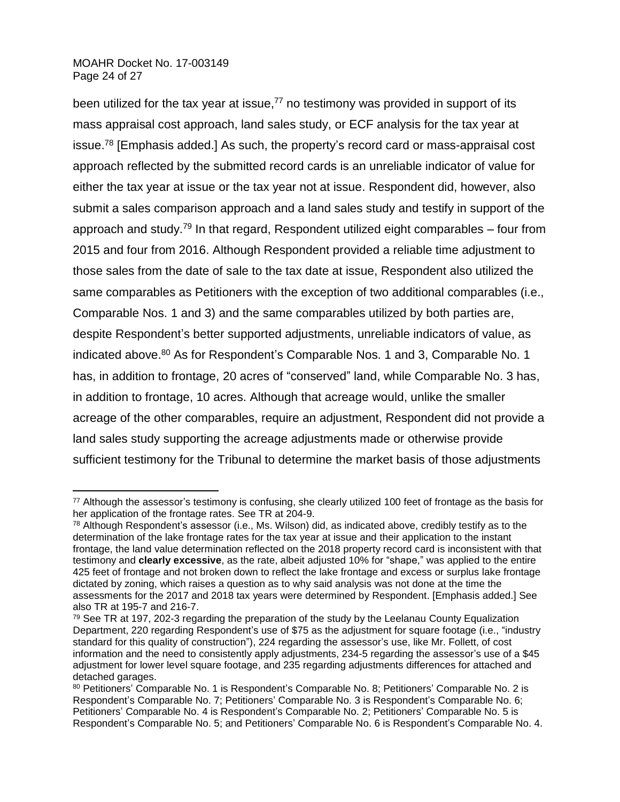## MOAHR Docket No. 17-003149 Page 24 of 27

 $\overline{a}$ 

been utilized for the tax year at issue,<sup>77</sup> no testimony was provided in support of its mass appraisal cost approach, land sales study, or ECF analysis for the tax year at issue.<sup>78</sup> [Emphasis added.] As such, the property's record card or mass-appraisal cost approach reflected by the submitted record cards is an unreliable indicator of value for either the tax year at issue or the tax year not at issue. Respondent did, however, also submit a sales comparison approach and a land sales study and testify in support of the approach and study.<sup>79</sup> In that regard, Respondent utilized eight comparables – four from 2015 and four from 2016. Although Respondent provided a reliable time adjustment to those sales from the date of sale to the tax date at issue, Respondent also utilized the same comparables as Petitioners with the exception of two additional comparables (i.e., Comparable Nos. 1 and 3) and the same comparables utilized by both parties are, despite Respondent's better supported adjustments, unreliable indicators of value, as indicated above.<sup>80</sup> As for Respondent's Comparable Nos. 1 and 3, Comparable No. 1 has, in addition to frontage, 20 acres of "conserved" land, while Comparable No. 3 has, in addition to frontage, 10 acres. Although that acreage would, unlike the smaller acreage of the other comparables, require an adjustment, Respondent did not provide a land sales study supporting the acreage adjustments made or otherwise provide sufficient testimony for the Tribunal to determine the market basis of those adjustments

 $77$  Although the assessor's testimony is confusing, she clearly utilized 100 feet of frontage as the basis for her application of the frontage rates. See TR at 204-9.

<sup>78</sup> Although Respondent's assessor (i.e., Ms. Wilson) did, as indicated above, credibly testify as to the determination of the lake frontage rates for the tax year at issue and their application to the instant frontage, the land value determination reflected on the 2018 property record card is inconsistent with that testimony and **clearly excessive**, as the rate, albeit adjusted 10% for "shape," was applied to the entire 425 feet of frontage and not broken down to reflect the lake frontage and excess or surplus lake frontage dictated by zoning, which raises a question as to why said analysis was not done at the time the assessments for the 2017 and 2018 tax years were determined by Respondent. [Emphasis added.] See also TR at 195-7 and 216-7.

<sup>&</sup>lt;sup>79</sup> See TR at 197, 202-3 regarding the preparation of the study by the Leelanau County Equalization Department, 220 regarding Respondent's use of \$75 as the adjustment for square footage (i.e., "industry standard for this quality of construction"), 224 regarding the assessor's use, like Mr. Follett, of cost information and the need to consistently apply adjustments, 234-5 regarding the assessor's use of a \$45 adjustment for lower level square footage, and 235 regarding adjustments differences for attached and detached garages.

<sup>80</sup> Petitioners' Comparable No. 1 is Respondent's Comparable No. 8; Petitioners' Comparable No. 2 is Respondent's Comparable No. 7; Petitioners' Comparable No. 3 is Respondent's Comparable No. 6; Petitioners' Comparable No. 4 is Respondent's Comparable No. 2; Petitioners' Comparable No. 5 is Respondent's Comparable No. 5; and Petitioners' Comparable No. 6 is Respondent's Comparable No. 4.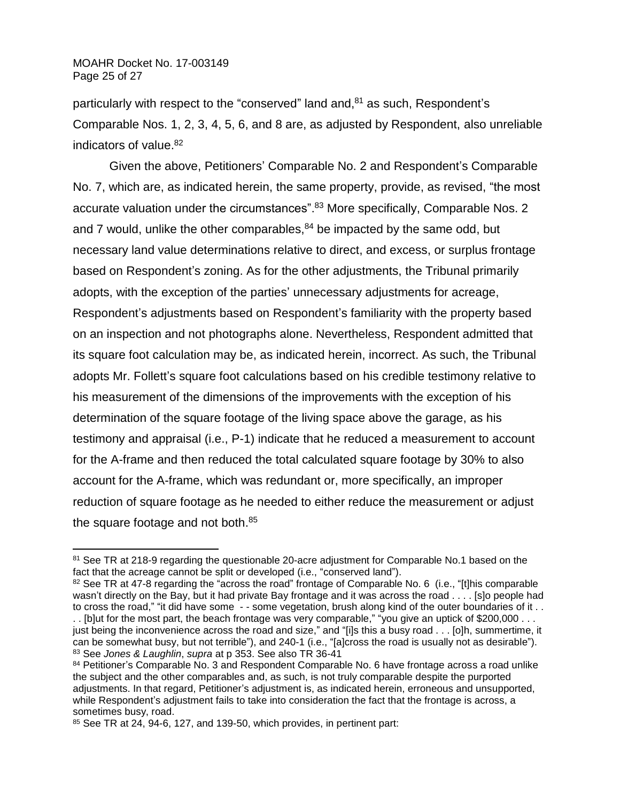MOAHR Docket No. 17-003149 Page 25 of 27

 $\overline{a}$ 

particularly with respect to the "conserved" land and,<sup>81</sup> as such, Respondent's Comparable Nos. 1, 2, 3, 4, 5, 6, and 8 are, as adjusted by Respondent, also unreliable indicators of value.<sup>82</sup>

Given the above, Petitioners' Comparable No. 2 and Respondent's Comparable No. 7, which are, as indicated herein, the same property, provide, as revised, "the most accurate valuation under the circumstances".<sup>83</sup> More specifically, Comparable Nos. 2 and 7 would, unlike the other comparables, $84$  be impacted by the same odd, but necessary land value determinations relative to direct, and excess, or surplus frontage based on Respondent's zoning. As for the other adjustments, the Tribunal primarily adopts, with the exception of the parties' unnecessary adjustments for acreage, Respondent's adjustments based on Respondent's familiarity with the property based on an inspection and not photographs alone. Nevertheless, Respondent admitted that its square foot calculation may be, as indicated herein, incorrect. As such, the Tribunal adopts Mr. Follett's square foot calculations based on his credible testimony relative to his measurement of the dimensions of the improvements with the exception of his determination of the square footage of the living space above the garage, as his testimony and appraisal (i.e., P-1) indicate that he reduced a measurement to account for the A-frame and then reduced the total calculated square footage by 30% to also account for the A-frame, which was redundant or, more specifically, an improper reduction of square footage as he needed to either reduce the measurement or adjust the square footage and not both.<sup>85</sup>

<sup>&</sup>lt;sup>81</sup> See TR at 218-9 regarding the questionable 20-acre adjustment for Comparable No.1 based on the fact that the acreage cannot be split or developed (i.e., "conserved land").

<sup>82</sup> See TR at 47-8 regarding the "across the road" frontage of Comparable No. 6 (i.e., "[t]his comparable wasn't directly on the Bay, but it had private Bay frontage and it was across the road . . . . [s]o people had to cross the road," "it did have some - - some vegetation, brush along kind of the outer boundaries of it . . . . [b]ut for the most part, the beach frontage was very comparable," "you give an uptick of \$200,000 . . .

just being the inconvenience across the road and size," and "[i]s this a busy road . . . [o]h, summertime, it can be somewhat busy, but not terrible"), and 240-1 (i.e., "[a]cross the road is usually not as desirable"). <sup>83</sup> See *Jones & Laughlin*, *supra* at p 353. See also TR 36-41

<sup>84</sup> Petitioner's Comparable No. 3 and Respondent Comparable No. 6 have frontage across a road unlike the subject and the other comparables and, as such, is not truly comparable despite the purported adjustments. In that regard, Petitioner's adjustment is, as indicated herein, erroneous and unsupported, while Respondent's adjustment fails to take into consideration the fact that the frontage is across, a sometimes busy, road.

<sup>85</sup> See TR at 24, 94-6, 127, and 139-50, which provides, in pertinent part: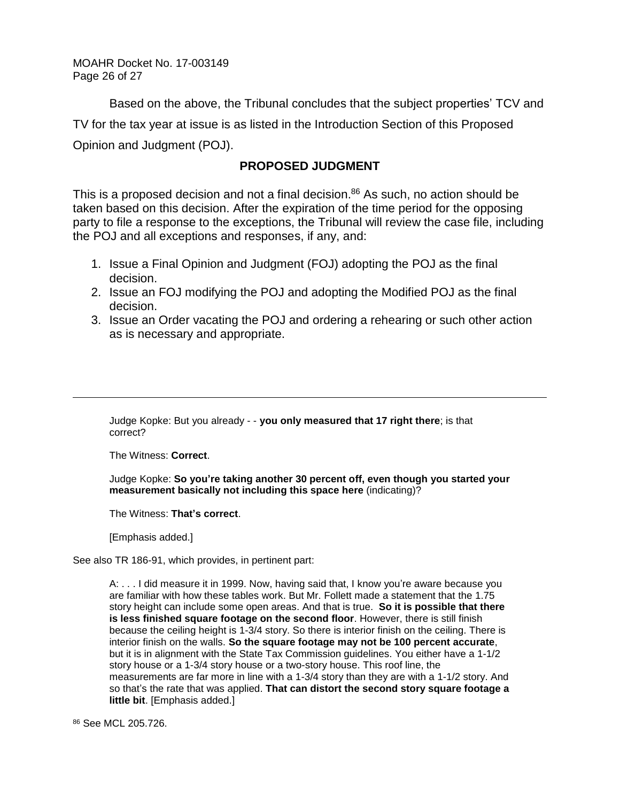MOAHR Docket No. 17-003149 Page 26 of 27

Based on the above, the Tribunal concludes that the subject properties' TCV and TV for the tax year at issue is as listed in the Introduction Section of this Proposed Opinion and Judgment (POJ).

## **PROPOSED JUDGMENT**

This is a proposed decision and not a final decision. $86$  As such, no action should be taken based on this decision. After the expiration of the time period for the opposing party to file a response to the exceptions, the Tribunal will review the case file, including the POJ and all exceptions and responses, if any, and:

- 1. Issue a Final Opinion and Judgment (FOJ) adopting the POJ as the final decision.
- 2. Issue an FOJ modifying the POJ and adopting the Modified POJ as the final decision.
- 3. Issue an Order vacating the POJ and ordering a rehearing or such other action as is necessary and appropriate.

Judge Kopke: But you already - - **you only measured that 17 right there**; is that correct?

The Witness: **Correct**.

 $\overline{a}$ 

Judge Kopke: **So you're taking another 30 percent off, even though you started your measurement basically not including this space here** (indicating)?

The Witness: **That's correct**.

[Emphasis added.]

See also TR 186-91, which provides, in pertinent part:

A: . . . I did measure it in 1999. Now, having said that, I know you're aware because you are familiar with how these tables work. But Mr. Follett made a statement that the 1.75 story height can include some open areas. And that is true. **So it is possible that there is less finished square footage on the second floor**. However, there is still finish because the ceiling height is 1-3/4 story. So there is interior finish on the ceiling. There is interior finish on the walls. **So the square footage may not be 100 percent accurate**, but it is in alignment with the State Tax Commission guidelines. You either have a 1-1/2 story house or a 1-3/4 story house or a two-story house. This roof line, the measurements are far more in line with a 1-3/4 story than they are with a 1-1/2 story. And so that's the rate that was applied. **That can distort the second story square footage a little bit**. [Emphasis added.]

<sup>86</sup> See MCL 205.726.